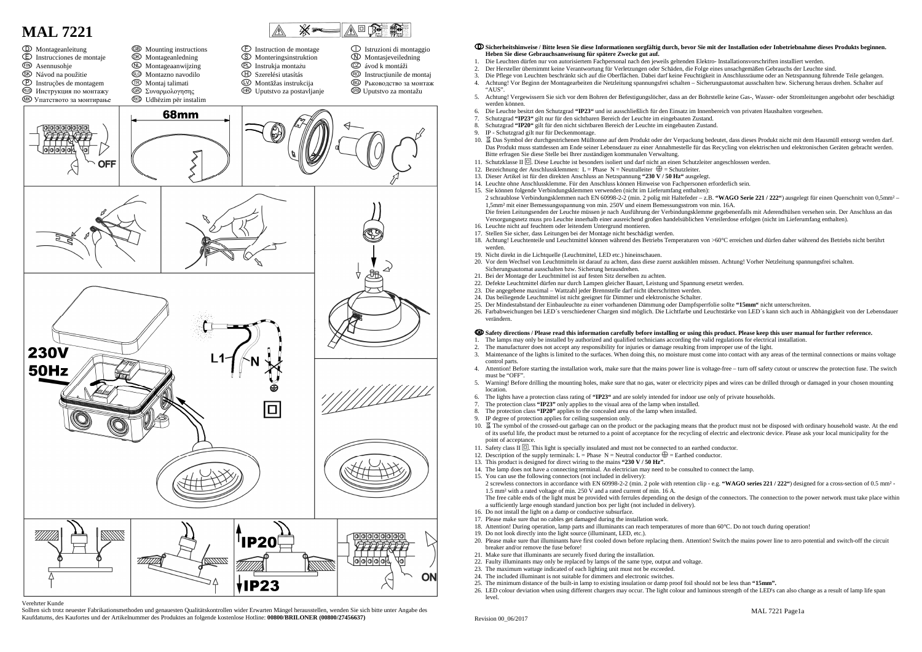

#### Verehrter Kunde

 Sollten sich trotz neuester Fabrikationsmethoden und genauesten Qualitätskontrollen wider Erwarten Mängel herausstellen, wenden Sie sich bitte unter Angabe des Kaufdatums, des Kaufortes und der Artikelnummer des Produktes an folgende kostenlose Hotline: **00800/BRILONER (00800/27456637)** 

#### **Sicherheitshinweise / Bitte lesen Sie diese Informationen sorgfältig durch, bevor Sie mit der Installation oder Inbetriebnahme dieses Produkts beginnen. Heben Sie diese Gebrauchsanweisung für spätere Zwecke gut auf.**

3. Die Pflege von Leuchten beschränkt sich auf die Oberflächen. Dabei darf keine Feuchtigkeit in Anschlussräume oder an Netzspannung führende Teile gelangen.

5. Achtung! Vergewissern Sie sich vor dem Bohren der Befestigungslöcher, dass an der Bohrstelle keine Gas-, Wasser- oder Stromleitungen angebohrt oder beschädigt

- 1. Die Leuchten dürfen nur von autorisiertem Fachpersonal nach den jeweils geltenden Elektro- Installationsvorschriften installiert werden.
- 2. Der Hersteller übernimmt keine Verantwortung für Verletzungen oder Schäden, die Folge eines unsachgemäßen Gebrauchs der Leuchte sind.
- 4. Achtung! Vor Beginn der Montagearbeiten die Netzleitung spannungsfrei schalten Sicherungsautomat ausschalten bzw. Sicherung heraus drehen. Schalter auf
- "AUS".
- werden können
- 6. Die Leuchte besitzt den Schutzgrad **"IP23"** und ist ausschließlich für den Einsatz im Innenbereich von privaten Haushalten vorgesehen.
- 7. Schutzgrad **"IP23"** gilt nur für den sichtbaren Bereich der Leuchte im eingebauten Zustand.
- 8. Schutzgrad **"IP20"** gilt für den nicht sichtbaren Bereich der Leuchte im eingebauten Zustand.
- 9. IP Schutzgrad gilt nur für Deckenmontage.
- 10. Das Symbol der durchgestrichenen Mülltonne auf dem Produkt oder der Verpackung bedeutet, dass dieses Produkt nicht mit dem Hausmüll entsorgt werden darf. Das Produkt muss stattdessen am Ende seiner Lebensdauer zu einer Annahmestelle für das Recycling von elektrischen und elektronischen Geräten gebracht werden. Bitte erfragen Sie diese Stelle bei Ihrer zuständigen kommunalen Verwaltung.
- 11. Schutzklasse II  $\Box$ . Diese Leuchte ist besonders isoliert und darf nicht an einen Schutzleiter angeschlossen werden.
- 12. Bezeichnung der Anschlussklemmen: L = Phase N = Neutralleiter  $\bigoplus$  = Schutzleiter.
- 13. Dieser Artikel ist für den direkten Anschluss an Netzspannung **"230 V / 50 Hz"** ausgelegt.
- 14. Leuchte ohne Anschlussklemme. Für den Anschluss können Hinweise von Fachpersonen erforderlich sein.
- 15. Sie können folgende Verbindungsklemmen verwenden (nicht im Lieferumfang enthalten): 2 schraublose Verbindungsklemmen nach EN 60998-2-2 (min. 2 polig mit Haltefeder – z.B. **"WAGO Serie 221 / 222"**) ausgelegt für einen Querschnitt von 0,5mm² – 1,5mm² mit einer Bemessungsspannung von min. 250V und einem Bemessungsstrom von min. 16A. Die freien Leitungsenden der Leuchte müssen je nach Ausführung der Verbindungsklemme gegebenenfalls mit Aderendhülsen versehen sein. Der Anschluss an dasVersorgungsnetz muss pro Leuchte innerhalb einer ausreichend großen handelsüblichen Verteilerdose erfolgen (nicht im Lieferumfang enthalten).
- 16. Leuchte nicht auf feuchtem oder leitendem Untergrund montieren.
- 17. Stellen Sie sicher, dass Leitungen bei der Montage nicht beschädigt werden.
- werden.
- 19. Nicht direkt in die Lichtquelle (Leuchtmittel, LED etc.) hineinschauen.
- 20. Vor dem Wechsel von Leuchtmitteln ist darauf zu achten, dass diese zuerst auskühlen müssen. Achtung! Vorher Netzleitung spannungsfrei schalten. Sicherungsautomat ausschalten bzw. Sicherung herausdrehen.
- 21. Bei der Montage der Leuchtmittel ist auf festen Sitz derselben zu achten.
- 22. Defekte Leuchtmittel dürfen nur durch Lampen gleicher Bauart, Leistung und Spannung ersetzt werden.
- 23. Die angegebene maximal Wattzahl jeder Brennstelle darf nicht überschritten werden.
- 24. Das beiliegende Leuchtmittel ist nicht geeignet für Dimmer und elektronische Schalter.
- 25. Der Mindestabstand der Einbauleuchte zu einer vorhandenen Dämmung oder Dampfsperrfolie sollte **"15mm"** nicht unterschreiten.
- 26. Farbabweichungen bei LED´s verschiedener Chargen sind möglich. Die Lichtfarbe und Leuchtstärke von LED´s kann sich auch in Abhängigkeit von der Lebensdauer verändern.

18. Achtung! Leuchtenteile und Leuchtmittel können während des Betriebs Temperaturen von >60°C erreichen und dürfen daher während des Betriebs nicht berührt

10. 冨 The symbol of the crossed-out garbage can on the product or the packaging means that the product must not be disposed with ordinary household waste. At the end

# **Safety directions / Please read this information carefully before installing or using this product. Please keep this user manual for further reference.**

- 1. The lamps may only be installed by authorized and qualified technicians according the valid regulations for electrical installation.
- 2. The manufacturer does not accept any responsibility for injuries or damage resulting from improper use of the light.
- 3. Maintenance of the lights is limited to the surfaces. When doing this, no moisture must come into contact with any areas of the terminal connections or mains voltage control parts.
- 4. Attention! Before starting the installation work, make sure that the mains power line is voltage-free turn off safety cutout or unscrew the protection fuse. The switch must be "OFF".
- 5. Warning! Before drilling the mounting holes, make sure that no gas, water or electricity pipes and wires can be drilled through or damaged in your chosen mounting location.
- 6. The lights have a protection class rating of **"IP23"** and are solely intended for indoor use only of private households.
- 7. The protection class **"IP23"** only applies to the visual area of the lamp when installed.<br>8. The protection class **"IP20"** applies to the concealed area of the lamp when installed
- 8. The protection class **"IP20"** applies to the concealed area of the lamp when installed.
- IP degree of protection applies for ceiling suspension only.
- of its useful life, the product must be returned to a point of acceptance for the recycling of electric and electronic device. Please ask your local municipality for the point of acceptance.
- 11. Safety class II  $\Box$ . This light is specially insulated and must not be connected to an earthed conductor.
- 12. Description of the supply terminals:  $L =$  Phase  $N =$  Neutral conductor  $\bigoplus$  = Earthed conductor.
- 13. This product is designed for direct wiring to the mains **"230 V / 50 Hz"**.
- 14. The lamp does not have a connecting terminal. An electrician may need to be consulted to connect the lamp. 15. You can use the following connectors (not included in delivery):
- 2 screwless connectors in accordance with EN 60998-2-2 (min. 2 pole with retention clip e.g. **"WAGO series 221 / 222"**) designed for a cross-section of 0.5 mm² 1.5 mm² with a rated voltage of min. 250 V and a rated current of min. 16 A. The free cable ends of the light must be provided with ferrules depending on the design of the connectors. The connection to the power network must take place within a sufficiently large enough standard junction box per light (not included in delivery).
- 16. Do not install the light on a damp or conductive subsurface.
- 17. Please make sure that no cables get damaged during the installation work.
- 
- 19. Do not look directly into the light source (illuminant, LED, etc.).
- breaker and/or remove the fuse before!
- 21. Make sure that illuminants are securely fixed during the installation.
- 22. Faulty illuminants may only be replaced by lamps of the same type, output and voltage.
- 23. The maximum wattage indicated of each lighting unit must not be exceeded.
- 24. The included illuminant is not suitable for dimmers and electronic switches.
- 25. The minimum distance of the built-in lamp to existing insulation or damp proof foil should not be less than **"15mm".**
- 26. LED colour deviation when using different chargers may occur. The light colour and luminous strength of the LED's can also change as a result of lamp life span
- level.

18. Attention! During operation, lamp parts and illuminants can reach temperatures of more than 60°C. Do not touch during operation!

20. Please make sure that illuminants have first cooled down before replacing them. Attention! Switch the mains power line to zero potential and switch-off the circuit

Revision 00\_06/2017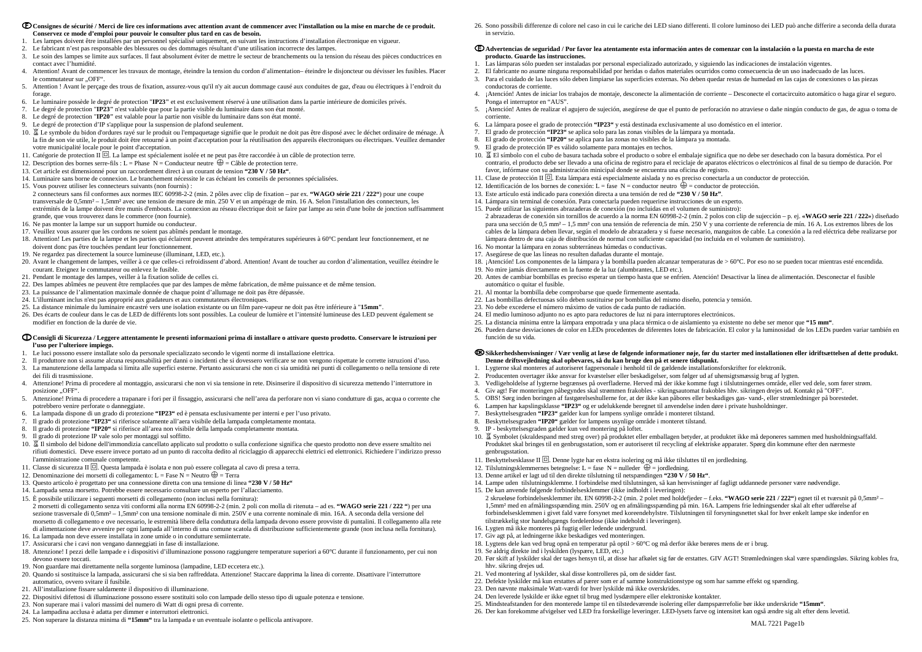- **Consignes de sécurité / Merci de lire ces informations avec attention avant de commencer avec l'installation ou la mise en marche de ce produit. Conservez ce mode d'emploi pour pouvoir le consulter plus tard en cas de besoin.**
- 1. Les lampes doivent être installées par un personnel spécialisé uniquement, en suivant les instructions d'installation électronique en vigueur.
- 2. Le fabricant n'est pas responsable des blessures ou des dommages résultant d'une utilisation incorrecte des lampes.
- 3. Le soin des lampes se limite aux surfaces. Il faut absolument éviter de mettre le secteur de branchements ou la tension du réseau des pièces conductrices en contact avec l'humidité.
- 4. Attention! Avant de commencer les travaux de montage, éteindre la tension du cordon d'alimentation– éteindre le disjoncteur ou dévisser les fusibles. Placer le commutateur sur ..OFF".
- 5. Attention ! Avant le perçage des trous de fixation, assurez-vous qu'il n'y ait aucun dommage causé aux conduites de gaz, d'eau ou électriques à l'endroit du forage.
- 6. Le luminaire possède le degré de protection "**IP23"** et est exclusivement réservé à une utilisation dans la partie intérieure de domiciles privés.
- 7. Le degré de protection "**IP23"** n'est valable que pour la partie visible du luminaire dans son état monté.
- 8. Le degré de protection "**IP20"** est valable pour la partie non visible du luminaire dans son état monté.
- 9. Le degré de protection d'IP s'applique pour la suspension de plafond seulement.
- 10.  $\mathbb Z$  Le symbole du bidon d'ordures rayé sur le produit ou l'empaquetage signifie que le produit ne doit pas être disposé avec le déchet ordinaire de ménage. À la fin de son vie utile, le produit doit être retourné à un point d'acceptation pour la réutilisation des appareils électroniques ou électriques. Veuillez demander votre municipalité locale pour le point d'acceptation.
- 11. Catégorie de protection II  $\Box$ . La lampe est spécialement isolée et ne peut pas être raccordée à un câble de protection terre.
- 12. Description des bornes serre-fils : L = Phase  $N =$ Conducteur neutre  $\bigoplus$  = Câble de protection terre.
- 13. Cet article est dimensionné pour un raccordement direct à un courant de tension **"230 V / 50 Hz"**.
- 14. Luminaire sans borne de connexion. Le branchement nécessite le cas échéant les conseils de personnes spécialisées.
- 15. Vous pouvez utiliser les connecteurs suivants (non fournis) :

 2 connecteurs sans fil conformes aux normes IEC 60998-2-2 (min. 2 pôles avec clip de fixation – par ex. **"WAGO série 221 / 222"**) pour une coupe transversale de 0,5mm² – 1,5mm² avec une tension de mesure de min. 250 V et un ampérage de min. 16 A. Selon l'installation des connecteurs, les extrémités de la lampe doivent être munis d'embouts. La connexion au réseau électrique doit se faire par lampe au sein d'une boîte de jonction suffisamment grande, que vous trouverez dans le commerce (non fournie).

- 16. Ne pas monter la lampe sur un support humide ou conducteur.
- 17. Veuillez vous assurer que les cordons ne soient pas abîmés pendant le montage.
- 18. Attention! Les parties de la lampe et les parties qui éclairent peuvent atteindre des températures supérieures à 60°C pendant leur fonctionnement, et ne doivent donc pas être touchées pendant leur fonctionnement.
- 19. Ne regardez pas directement la source lumineuse (illuminant, LED, etc.).
- 20. Avant le changement de lampes, veiller à ce que celles-ci refroidissent d'abord. Attention! Avant de toucher au cordon d'alimentation, veuillez éteindre le courant. Eteignez le commutateur ou enlevez le fusible.
- 21. Pendant le montage des lampes, veiller à la fixation solide de celles ci.
- 22. Des lampes abîmées ne peuvent être remplacées que par des lampes de même fabrication, de même puissance et de même tension.
- 23. La puissance de l'alimentation maximale donnée de chaque point d'allumage ne doit pas être dépassée.
- 24. L'illuminant inclus n'est pas approprié aux gradateurs et aux commutateurs électroniques.
- 25. La distance minimale du luminaire encastré vers une isolation existante ou un film pare-vapeur ne doit pas être inférieure à "**15mm"**.
- 26. Des écarts de couleur dans le cas de LED de différents lots sont possibles. La couleur de lumière et l'intensité lumineuse des LED peuvent également se modifier en fonction de la durée de vie.

# **Consigli di Sicurezza / Leggere attentamente le presenti informazioni prima di installare o attivare questo prodotto. Conservare le istruzioni per l'uso per l'ulteriore impiego.**

- 1. Le luci possono essere installate solo da personale specializzato secondo le vigenti norme di installazione elettrica.
- 2. Il produttore non si assume alcuna responsabilità per danni o incidenti che si dovessero verificare se non vengono rispettate le corrette istruzioni d'uso.
- 3. La manutenzione della lampada si limita alle superfici esterne. Pertanto assicurarsi che non ci sia umidità nei punti di collegamento o nella tensione di rete dei fili di trasmissione.
- 4. Attenzione! Prima di procedere al montaggio, assicurarsi che non vi sia tensione in rete. Disinserire il dispositivo di sicurezza mettendo l'interruttore in posizione "OFF".
- 5. Attenzione! Prima di procedere a trapanare i fori per il fissaggio, assicurarsi che nell'area da perforare non vi siano condutture di gas, acqua o corrente che potrebbero venire perforate o danneggiate.
- 6. La lampada dispone di un grado di protezione **"IP23"** ed è pensata esclusivamente per interni e per l'uso privato.
- 7. Il grado di protezione **"IP23"** si riferisce solamente all'aera visibile della lampada completamente montata.
- 8. Il grado di protezione **"IP20"** si riferisce all'area non visibile della lampada completamente montata.
- 9. Il grado di protezione IP vale solo per montaggi sul soffitto.
- 10. K Il simbolo del bidone dell'immondizia cancellato applicato sul prodotto o sulla confezione significa che questo prodotto non deve essere smaltito nei rifiuti domestici. Deve essere invece portato ad un punto di raccolta dedito al riciclaggio di apparecchi elettrici ed elettronici. Richiedere l'indirizzo presso l'amministrazione comunale competente.
- 11. Classe di sicurezza II  $\Box$ . Questa lampada è isolata e non può essere collegata al cavo di presa a terra.
- 12. Denominazione dei morsetti di collegamento: L = Fase N = Neutro  $\bigoplus$  = Terra
- 13. Questo articolo è progettato per una connessione diretta con una tensione di linea **"230 V / 50 Hz"**
- 14. Lampada senza morsetto. Potrebbe essere necessario consultare un esperto per l'allacciamento.
- 15. È possibile utilizzare i seguenti morsetti di collegamento (non inclusi nella fornitura):

 2 morsetti di collegamento senza viti conformi alla norma EN 60998-2-2 (min. 2 poli con molla di ritenuta – ad es. **"WAGO serie 221 / 222 "**) per una sezione trasversale di 0,5mm² – 1,5mm² con una tensione nominale di min. 250V e una corrente nominale di min. 16A. A seconda della versione del morsetto di collegamento e ove necessario, le estremità libere della conduttura della lampada devono essere provviste di puntalini. Il collegamento alla rete di alimentazione deve avvenire per ogni lampada all'interno di una comune scatola di distribuzione sufficientemente grande (non inclusa nella fornitura).16. La lampada non deve essere installata in zone umide o in condutture semiinterrate.

- 17. Assicurarsi che i cavi non vengano danneggiati in fase di installazione.
- 
- 18. Attenzione! I pezzi delle lampade e i dispositivi d'illuminazione possono raggiungere temperature superiori a 60°C durante il funzionamento, per cui non devono essere toccati.
- 19. Non guardare mai direttamente nella sorgente luminosa (lampadine, LED eccetera etc.).
- 20. Quando si sostituisce la lampada, assicurarsi che si sia ben raffreddata. Attenzione! Staccare dapprima la linea di corrente. Disattivare l'interruttore automatico, ovvero svitare il fusibile.
- 21. All'installazione fissare saldamente il dispositivo di illuminazione.
- 22. Dispositivi difettosi di illuminazione possono essere sostituiti solo con lampade dello stesso tipo di uguale potenza e tensione.
- 23. Non superare mai i valori massimi del numero di Watt di ogni presa di corrente.
- 24. La lampadina acclusa è adatta per dimmer e interruttori elettronici.
- 25. Non superare la distanza minima di **"15mm"** tra la lampada e un eventuale isolante o pellicola antivapore.

26. Sono possibili differenze di colore nel caso in cui le cariche dei LED siano differenti. Il colore luminoso dei LED può anche differire a seconda della durata in servizio.

# **Advertencias de seguridad / Por favor lea atentamente esta información antes de comenzar con la instalación o la puesta en marcha de este producto. Guarde las instrucciones.**

- 1. Las lámparas sólo pueden ser instaladas por personal especializado autorizado, y siguiendo las indicaciones de instalación vigentes.
- 2. El fabricante no asume ninguna responsabilidad por heridas o daños materiales ocurridos como consecuencia de un uso inadecuado de las luces.
- 3. Para el cuidado de las luces sólo deben limpiarse las superficies externas. No deben quedar restas de humedad en las cajas de conexiones o las piezas conductoras de corriente.
- 4. ¡Atención! Antes de iniciar los trabajos de montaje, desconecte la alimentación de corriente Desconecte el cortacircuito automático o haga girar el seguro. Ponga el interruptor en "AUS".
- 5. ¡Atención! Antes de realizar el agujero de sujeción, asegúrese de que el punto de perforación no atraviese o dañe ningún conducto de gas, de agua o toma de corriente.
- 6. La lámpara posee el grado de protección **"IP23"** y está destinada exclusivamente al uso doméstico en el interior.
- 7. El grado de protección **"IP23"** se aplica solo para las zonas visibles de la lámpara ya montada. 8. El grado de protección **"IP20"** se aplica para las zonas no visibles de la lámpara ya montada.
- El grado de protección IP es válido solamente para montajes en techos.
- 
- 10. El símbolo con el cubo de basura tachada sobre el producto o sobre el embalaje significa que no debe ser desechado con la basura doméstica. Por el contrario, el producto debe ser llevado a una oficina de registro para el reciclaje de aparatos eléctricos o electrónicos al final de su tiempo de duración. Por favor, infórmase con su administración minicipal donde se encuentra una oficina de registro.
- 11. Clase de protección II  $\Box$ . Esta lámpara está especialmente aislada y no es preciso conectarla a un conductor de protección.
- 12. Identificación de los bornes de conexión: L = fase N = conductor neutro  $\bigoplus$  = conductor de protección.
- 13. Este artículo está indicado para conexión directa a una tensión de red de **"230 V / 50 Hz"**.
- 14. Lámpara sin terminal de conexión. Para conectarla pueden requerirse instrucciones de un experto.
- 15. Puede utilizar las siguientes abrazaderas de conexión (no incluidas en el volumen de suministro): 2 abrazaderas de conexión sin tornillos de acuerdo a la norma EN 60998-2-2 (mín. 2 polos con clip de sujección – p. ej. **«WAGO serie 221 / 222»**) diseñado para una sección de 0,5 mm² – 1,5 mm² con una tensión de referencia de mín. 250 V y una corriente de referencia de mín. 16 A. Los extremos libres de los cables de la lámpara deben llevar, según el modelo de abrazadera y si fuese necesario, manguitos de cable. La conexión a la red eléctrica debe realizarse por lámpara dentro de una caja de distribución de normal con suficiente capacidad (no incluida en el volumen de suministro).
- 16. No montar la lámpara en zonas subterráneas húmedas o conductivas.
- 17. Asegúrese de que las líneas no resulten dañadas durante el montaje.
- 18. ¡Atención! Los componentes de la lámpara y la bombilla pueden alcanzar temperaturas de > 60°C. Por eso no se pueden tocar mientras esté encendida.
- 19. No mire jamás directamente en la fuente de la luz (alumbrantes, LED etc.).
- 20. Antes de cambiar bombillas es preciso esperar un tiempo hasta que se enfríen. Atención! Desactivar la línea de alimentación. Desconectar el fusible automático o quitar el fusible.
- 21. Al montar la bombilla debe comprobarse que quede firmemente asentada.
- 22. Las bombillas defectuosas sólo deben sustituirse por bombillas del mismo diseño, potencia y tensión.
- 23. No debe excederse el número máximo de vatios de cada punto de radiación.
- 24. El medio luminoso adjunto no es apto para reductores de luz ni para interruptores electrónicos.
- 25. La distancia mínima entre la lámpara empotrada y una placa térmica o de aislamiento ya existente no debe ser menor que **"15 mm"**.
- 26. Pueden darse desviaciones de color en LEDs procedentes de diferentes lotes de fabricación. El color y la luminosidad de los LEDs pueden variar también en función de su vida.

# **Sikkerhedshenvisninger / Vær venlig at læse de følgende informationer nøje, før du starter med installationen eller idriftsættelsen af dette produkt. Denne driftsvejledning skal opbevares, så du kan bruge den på et senere tidspunkt.**

- 1. Lygterne skal monteres af autoriseret fagpersonale i henhold til de gældende installationsforskrifter for elektronik.
- 2. Producenten overtager ikke ansvar for kvæstelser eller beskadigelser, som følger ud af uhensigtsmæssig brug af lygten.
- 3. Vedligeholdelse af lygterne begrænses på overfladerne. Herved må der ikke komme fugt i tilslutningernes område, eller ved dele, som fører strøm.
- 4. Giv agt! Før monteringen påbegyndes skal strømmen frakobles sikringsautomat frakobles hhv. sikringen drejes ud. Kontakt på "OFF".
- 5. OBS! Sørg inden boringen af fastgørelseshullerne for, at der ikke kan påbores eller beskadiges gas- vand-, eller strømledninger på borestedet.
- 6. Lampen har kapslingsklasse **"IP23"** og er udelukkende beregnet til anvendelse inden døre i private husholdninger.
- 7. Beskyttelsesgraden **"IP23"** gælder kun for lampens synlige område i monteret tilstand.
- 8. Beskyttelsesgraden **"IP20"** gælder for lampens usynlige område i monteret tilstand.
- 9. IP beskyttelsesgraden gælder kun ved montering på loftet.
- 10. Symbolet (skraldespand med streg over) på produktet eller emballagen betyder, at produktet ikke må deponeres sammen med husholdningsaffald. Produktet skal bringes til en genbrugsstation, som er autoriseret til recycling af elektriske apparater. Spørg din kommune efter den nærmeste genbrugsstation.
- 11. Beskyttelsesklasse II **D**. Denne lygte har en ekstra isolering og må ikke tilsluttes til en jordledning.
- 12. Tilslutningsklemmernes betegnelse: L = fase N = nulleder  $\bigoplus$  = jordledning.
- 13. Denne artikel er lagt ud til den direkte tilslutning til netspændingen **"230 V / 50 Hz"**.
- 14. Lampe uden tilslutningsklemme. I forbindelse med tilslutningen, så kan henvisninger af fagligt uddannede personer være nødvendige.
- 15. De kan anvende følgende forbindelsesklemmer (ikke indholdt i leveringen):
- 2 skrueløse forbindelsesklemmer iht. EN 60998-2-2 (min. 2 polet med holdefjeder f.eks. **"WAGO serie 221 / 222"**) egnet til et tværsnit på 0,5mm² 1,5mm² med en afmålingsspænding min. 250V og en afmålingsspænding på min. 16A. Lampens frie ledningsender skal alt efter udførelse af forbindelsesklemmen i givet fald være forsynet med koreendehylstre. Tilslutningen til forsyningsnettet skal for hver enkelt lampe ske indenfor en tilstrækkelig stor handelsgængs fordelerdose (ikke indeholdt i leveringen). 16. Lygten må ikke monteres på fugtig eller ledende undergrund.

17. Giv agt på, at ledningerne ikke beskadiges ved monteringen.

18. Lygtens dele kan ved brug opnå en temperatur på optil > 60°C og må derfor ikke berøres mens de er i brug.

19. Se aldrig direkte ind i lyskilden (lyspære, LED, etc.)

20. Før skift af lyskilder skal der tages hensyn til, at disse har afkølet sig før de erstattes. GIV AGT! Strømledningen skal være spændingsløs. Sikring kobles fra,

hhv. sikring drejes ud.

21. Ved montering af lyskilder, skal disse kontrolleres på, om de sidder fast.

22. Defekte lyskilder må kun erstattes af pærer som er af samme konstruktionstype og som har samme effekt og spænding.

23. Den nævnte maksimale Watt-værdi for hver lyskilde må ikke overskrides.

24. Den leverede lyskilde er ikke egnet til brug med lysdæmpere eller elektroniske kontakter.

 25. Mindsteafstanden for den monterede lampe til en tilstedeværende isolering eller dampspærrefolie bør ikke underskride **"15mm"**. 26. Der kan forekomme afvigelser ved LED fra forskellige leveringer. LED-lysets farve og intensitet kan også ændre sig alt efter dens levetid.

MAL 7221 Page1b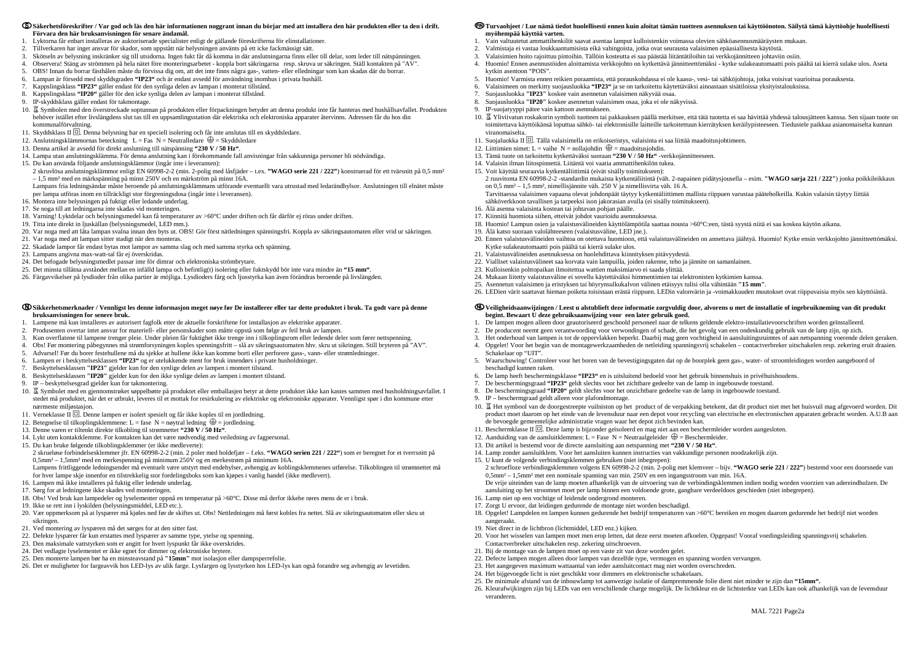#### **Säkerhetsföreskrifter / Var god och läs den här informationen noggrant innan du börjar med att installera den här produkten eller ta den i drift. Förvara den här bruksanvisningen för senare ändamål.**

- 1. Lyktorna får enbart installeras av auktoriserade specialister enligt de gällande föreskrifterna för elinstallationer.
- 2. Tillverkaren har inget ansvar för skador, som uppstått när belysningen använts på ett icke fackmässigt sätt.
- 3. Skötseln av belysning inskränker sig till utsidorna. Ingen fukt får då komma in där anslutningarna finns eller till delar, som leder till nätspänningen.
- 4. Observera! Stäng av strömmen på hela nätet före monteringsarbetet koppla bort säkringarna resp. skruva ur säkringen. Ställ kontakten på "AV".
- 5. OBS! Innan du borrar fästhålen måste du förvissa dig om, att det inte finns några gas-, vatten- eller elledningar som kan skadas där du borrar.
- 6. Lampan är försedd med skyddsgraden **"IP23"** och är endast avsedd för användning inomhus i privata hushåll.
- 7. Kappslingsklass **"IP23"** gäller endast för den synliga delen av lampan i monterat tillstånd.
- 8. Kappslingsklass **"IP20"** gäller för den icke synliga delen av lampan i monterat tillstånd.
- 9. IP-skyddsklass gäller endast för takmontage.
- 10. 冨 Symbolen med den överstreckade soptunnan på produkten eller förpackningen betyder att denna produkt inte får hanteras med hushållsavfallet. Produkten behöver istället efter livslängdens slut tas till en uppsamlingsstation där elektriska och elektroniska apparater återvinns. Adressen får du hos din kommunalförvaltning.
- 11. Skyddsklass II  $\Box$ . Denna belysning har en speciell isolering och får inte anslutas till en skyddsledare.
- 12. Anslutningsklämmornas beteckning  $L = Fs \ N = Neutralled are \ \bigoplus = Skyddsled are$
- 13. Denna artikel är avsedd för direkt anslutning till nätspänning **"230 V / 50 Hz"**.
- 14. Lampa utan anslutningsklämma. För denna anslutning kan i förekommande fall anvisningar från sakkunniga personer bli nödvändiga.
- 15. Du kan använda följande anslutningsklämmor (ingår inte i leveransen):
- 2 skruvlösa anslutningsklämmor enligt EN 60998-2-2 (min. 2-polig med låsfjäder t.ex. **"WAGO serie 221 / 222"**) konstruerad för ett tvärsnitt på 0,5 mm² – 1,5 mm² med en märkspänning på minst 250V och en märkström på minst 16A.
- Lampans fria ledningsändar måste beroende på anslutningsklämmans utförande eventuellt vara utrustad med ledarändhylsor. Anslutningen till elnätet måste per lampa utföras inom en tillräckligt stor förgreningsdosa (ingår inte i leveransen).
- 16. Montera inte belysningen på fuktigt eller ledande underlag.
- 17. Se noga till att ledningarna inte skadas vid monteringen.
- 18. Varning! Lyktdelar och belysningsmedel kan få temperaturer av >60°C under driften och får därför ej röras under driften.
- 19. Titta inte direkt in ljuskällan (belysningsmedel, LED mm.).
- 20. Var noga med att låta lampan svalna innan den byts ut. OBS! Gör först nätledningen spänningsfri. Koppla av säkringsautomaten eller vrid ur säkringen.
- 21. Var noga med att lampan sitter stadigt när den monteras.
- 22. Skadade lampor får endast bytas mot lampor av samma slag och med samma styrka och spänning.
- 23. Lampans angivna max-watt-tal får ej överskridas.
- 24. Det befogade belysningsmedlet passar inte för dimrar och elektroniska strömbrytare.
- 25. Det minsta tillåtna avståndet mellan en infälld lampa och befintlig(t) isolering eller fuktskydd bör inte vara mindre än **"15 mm"**.
- 26. Färgavvikelser på lysdioder från olika partier är möjliga. Lysdioders färg och ljusstyrka kan även förändras beroende på livslängden.

#### **Sikkerhetsmerknader / Vennligst les denne informasjon meget nøye før De installerer eller tar dette produktet i bruk. Ta godt vare på denne bruksanvisningen for senere bruk.**

- 1. Lampene må kun installeres av autorisert fagfolk etter de aktuelle forskriftene for installasjon av elektriske apparater.
- 2. Produsenten overtar intet ansvar for materiell- eller personskader som måtte oppstå som følge av feil bruk av lampen.
- 3. Kun overflatene til lampene trenger pleie. Under pleien får fuktighet ikke trenge inn i tilkoplingsrom eller ledende deler som fører nettspenning.
- 4. Obs! Før montering påbegynnes må strømforsyningen koples spenningsfritt slå av sikringsautomaten hhv. skru ut sikringen. Still bryteren på "AV".
- 5. Advarsel! Før du borer festehullene må du sjekke at hullene ikke kan komme borti eller perforere gass-, vann- eller strømledninger.
- 6. Lampen er i beskyttelsesklassen **"IP23"** og er utelukkende ment for bruk innendørs i private husholdninger.
- 7. Beskyttelsesklassen **"IP23"** gjelder kun for den synlige delen av lampen i montert tilstand.
- 8. Beskyttelsesklassen **"IP20"** gjelder kun for den ikke synlige delen av lampen i montert tilstand.
- 9. IP beskyttelsesgrad gjelder kun for takmontering.
- 10. Symbolet med en gjennomstrøket søppelbøtte på produktet eller emballasjen betyr at dette produktet ikke kan kastes sammen med husholdningsavfallet. I stedet må produktet, når det er utbrukt, leveres til et mottak for resirkulering av elektriske og elektroniske apparater. Vennligst spør i din kommune etter nærmeste miljøstasjon.
- 11. Verneklasse II  $\Box$ . Denne lampen er isolert spesielt og får ikke koples til en jordledning.
- 12. Betegnelse til tilkoplingsklemmene: L = fase N = nøytral ledning  $\bigoplus$  = jordledning.
- 13. Denne varen er tiltenkt direkte tilkobling til strømnettet **"230 V / 50 Hz"**.
- 14. Lykt uten kontaktklemme. For kontakten kan det være nødvendig med veiledning av fagpersonal.
- 15. Du kan bruke følgende tilkoblingsklemmer (er ikke medleverte):
- 2 skrueløse forbindelsesklemmer jfr. EN 60998-2-2 (min. 2 poler med holdefjær f.eks. **"WAGO serien 221 / 222"**) som er beregnet for et tverrsnitt på 0,5mm² – 1,5mm² med en merkespenning på minimum 250V og en merkestrøm på minimum 16A.
- Lampens frittliggende ledningsender må eventuelt være utstyrt med endehylser, avhengig av koblingsklemmenes utførelse. Tilkoblingen til strømnettet må for hver lampe skje innenfor en tilstrekkelig stor fordelingsboks som kan kjøpes i vanlig handel (ikke medlevert).
- 16. Lampen må ikke installeres på fuktig eller ledende underlag.
- 17. Sørg for at ledningene ikke skades ved monteringen.
- 18. Obs! Ved bruk kan lampedeler og lyselementer oppnå en temperatur på >60°C. Disse må derfor ikkebe røres mens de er i bruk.
- 19. Ikke se rett inn i lyskilden (belysningsmiddel, LED etc.).
- 20. Vær oppmerksom på at lyspærer må kjøles ned før de skiftes ut. Obs! Nettledningen må først kobles fra nettet. Slå av sikringsautomaten eller skru ut sikringen.
- 21. Ved montering av lyspæren må det sørges for at den sitter fast.
- 22. Defekte lyspærer får kun erstattes med lyspærer av samme type, ytelse og spenning.
- 23. Den maksimale vattstyrken som er angitt for hvert lyspunkt får ikke overskrides.
- 24. Det vedlagte lyselementet er ikke egnet for dimmer og elektroniske brytere.
- 25. Den monterte lampen bør ha en minsteavstand på **"15mm"** mot isolasjon eller dampsperrefolie.
- 26. Det er muligheter for fargeavvik hos LED-lys av ulik farge. Lysfargen og lysstyrken hos LED-lys kan også forandre seg avhengig av levetiden.
- 10. 冨 Het symbool van de doorgestreepte vuilniston op het product of de verpakking betekent, dat dit product niet met het huisvuil mag afgevoerd worden. Dit product moet daarom op het einde van de levensduur naar een depot voor recycling van electrische en electronischen apparaten gebracht worden. A.U.B aan de bevoegde gemeentelijke administratie vragen waar het depot zich bevinden kan.
- 11. Beschermklasse II  $\Box$ . Deze lamp is bijzonder geïsoleerd en mag niet aan een beschermleider worden aangesloten.
- 12. Aanduiding van de aansluitklemmen: L = Fase  $N$  = Neutraalgeleider  $\bigoplus$  = Beschermleider.
- 13. Dit artikel is bestemd voor de directe aansluiting aan netspanning met **"230 V / 50 Hz"**.

# **Turvaohjeet / Lue nämä tiedot huolellisesti ennen kuin aloitat tämän tuotteen asennuksen tai käyttöönoton. Säilytä tämä käyttöohje huolellisesti myöhempää käyttöä varten.**

- 1. Vain valtuutetut ammattihenkilöt saavat asentaa lamput kulloistenkin voimassa olevien sähköasennusmääräysten mukaan.
- 2. Valmistaja ei vastaa loukkaantumisista eikä vahingoista, jotka ovat seurausta valaisimen epäasiallisesta käytöstä.
- 3. Valaisimien hoito rajoittuu pintoihin. Tällöin kosteutta ei saa päästää liitäntätiloihin tai verkkojännitteen johtaviin osiin.
- 4. Huomio! Ennen asennustöiden aloittamista verkkojohto on kytkettävä jännitteettömäksi kytke sulakeautomaatti pois päältä tai kierrä sulake ulos. Aseta kytkin asentoon "POIS".
- 5. Huomio! Varmista ennen reikien poraamista, että porauskohdassa ei ole kaasu-, vesi- tai sähköjohtoja, jotka voisivat vaurioitua porauksesta.
- 6. Valaisimeen on merkitty suojausluokka **"IP23"** ja se on tarkoitettu käytettäväksi ainoastaan sisätiloissa yksityistalouksissa.
- 7. Suojausluokka **"IP23"** koskee vain asennetun valaisimen näkyvää osaa.
- 8. Suojausluokka **"IP20"** koskee asennetun valaisimen osaa, joka ei ole näkyvissä.
- 9. IP-suojatyyppi pätee vain kattoon asennukseen.
- 10. Yliviivatun roskakorin symboli tuotteen tai pakkauksen päällä merkitsee, että tätä tuotetta ei saa hävittää yhdessä talousjätteen kanssa. Sen sijaan tuote on toimitettava käyttöikänsä loputtua sähkö- tai elektronisille laitteille tarkoitettuun kierrätyksen keräilypisteeseen. Tiedustele paikkaa asianomaiselta kunnan viranomaiselta.
- 11. Suojaluokka II  $\Box$ . Tällä valaisimella on erikoiseristys, valaisinta ei saa liittää maadoitusjohtimeen.
- 12. Liittimien nimet: L = vaihe N = nollajohdin  $\bigoplus$  = maadoitusjohdin.
- 13. Tämä tuote on tarkoitettu kytkettäväksi suoraan **"230 V / 50 Hz"** -verkkojännitteeseen.
- 14. Valaisin ilman liitospinnettä. Liitäntä voi vaatia ammattihenkilön tukea.
- 15. Voit käyttää seuraavia kytkentäliittimiä (eivät sisälly toimitukseen): 2 ruuvitonta EN 60998-2-2 -standardin mukaista kytkentäliitintä (väh. 2-napainen pidätysjousella – esim. **"WAGO sarja 221 / 222"**) jonka poikkileikkaus on 0,5 mm² – 1,5 mm², nimellisjännite väh. 250 V ja nimellisvirta väh. 16 A. Tarvittaessa valaisimen vapaana olevat johdonpäät täytyy kytkentäliittimen mallista riippuen varustaa pääteholkeilla. Kukin valaisin täytyy liittää sähköverkkoon tavallisen ja tarpeeksi ison jakorasian avulla (ei sisälly toimitukseen).
- 16. Älä asenna valaisinta kostean tai johtavan pohjan päälle.
- 17. Kiinnitä huomiota siihen, etteivät johdot vaurioidu asennuksessa.
- 
- 19. Älä katso suoraan valolähteeseen (valaistusväline, LED jne.). 20. Ennen valaistusvälineiden vaihtoa on otettava huomioon, että valaistusvälineiden on annettava jäähtyä. Huomio! Kytke ensin verkkojohto jännitteettömäksi.
- Kytke sulakeautomaatti pois päältä tai kierrä sulake ulos. 21. Valaistusvälineiden asennuksessa on huolehdittava kiinnityksen pitävyydestä.
- 22. Vialliset valaistusvälineet saa korvata vain lampuilla, joiden rakenne, teho ja jännite on samanlainen.
- 23. Kulloisenkin polttopaikan ilmoitettua wattien maksimiarvo ei saada ylittää.
- 24. Mukaan liitetty valaistusväline ei sovellu käytettäväksi himmentimien tai elektronisten kytkimien kanssa.
- 25. Asennetun valaisimen ja eristyksen tai höyrynsulkukalvon välinen etäisyys tulisi olla vähintään **"15 mm"**.
- 

18. Huomio! Lampun osien ja valaistusvälineiden käyttölämpötila saattaa nousta >60°C:een, tästä syystä niitä ei saa koskea käytön aikana.

26. LEDien värit saattavat hieman poiketa toisistaan erästä riippuen. LEDin valonvärin ja -voimakkuuden muutokset ovat riippuvaisia myös sen käyttöiästä.

#### **Veiligheidsaanwijzingen / Leest u alstublieft deze informatie zorgvuldig door, alvorens u met de installatie of ingebruikneming van dit produkt begint. Bewaart U deze gebruiksaanwijzing voor een later gebruik goed.**

3. Het onderhoud van lampen is tot de oppervlakken beperkt. Daarbij mag geen vochtigheid in aansluitingsruimtes of aan netspanning voerende delen geraken.

- 1. De lampen mogen alleen door geautoriseerd geschoold personeel naar de telkens geldende elektro-installatievoorschriften worden geїnstalleerd.
- 2. De producent neemt geen verantwoording voor verwondingen of schade, die het gevolg van een ondeskundig gebruik van de lanp zijn, op zich.
- 
- 4. Opgelet! Voor het begin van de montagewerkzaamheden de netleiding spanningsvrij schakelen contactverbreker uitschakelen resp. zekering eruit draaien. Schakelaar op "UIT".
- 5. Waarschuwing! Controleer voor het boren van de bevestigingsgaten dat op de boorplek geen gas-, water- of stroomleidingen worden aangeboord of beschadigd kunnen raken.
- 6. De lamp heeft beschermingsklasse **"IP23"** en is uitsluitend bedoeld voor het gebruik binnenshuis in privéhuishoudens.
- 7. De beschermingsgraad **"IP23"** geldt slechts voor het zichtbare gedeelte van de lamp in ingebouwde toestand.
- 8. De beschermingsgraad **"IP20"** geldt slechts voor het onzichtbare gedeelte van de lamp in ingebouwde toestand.
- 9. IP beschermgraad geldt alleen voor plafondmontage.

- 14. Lamp zonder aansluitklem. Voor het aansluiten kunnen instructies van vakkundige personen noodzakelijk zijn.
- 15. U kunt de volgende verbindingsklemmen gebruiken (niet inbegrepen):

 2 schroefloze verbindingsklemmen volgens EN 60998-2-2 (min. 2-polig met klemveer – bijv. **"WAGO serie 221 / 222"**) bestemd voor een doorsnede van 0,5mm² – 1,5mm² met een nominale spanning van min. 250V en een ingangsstroom van min. 16A.

 De vrije uiteinden van de lamp moeten afhankelijk van de uitvoering van de verbindingsklemmen indien nodig worden voorzien van adereindhulzen. De aansluiting op het stroomnet moet per lamp binnen een voldoende grote, gangbare verdeeldoos geschieden (niet inbegrepen).

16. Lamp niet op een vochtige of leidende ondergrond monteren.

17. Zorgt U ervoor, dat leidingen gedurende de montage niet worden beschadigd.

18. Opgelet! Lampdelen en lampen kunnen gedurende het bedrijf temperaturen van >60°C bereiken en mogen daarom gedurende het bedrijf niet worden

aangeraakt.

19. Niet direct in de lichtbron (lichtmiddel, LED enz.) kijken.

20. Voor het wisselen van lampen moet men erop letten, dat deze eerst moeten afkoelen. Opgepast! Vooraf voedingsleiding spanningsvrij schakelen.

Contactverbreker uitschakelen resp. zekering uitschroeven.

21. Bij de montage van de lampen moet op een vaste zit van deze worden gelet.

22. Defecte lampen mogen alleen door lampen van dezelfde type, vermogen en spanning worden vervangen.

23. Het aangegeven maximum wattaantal van ieder aansluitcontact mag niet worden overschreden.

24. Het bijgevoegde licht is niet geschikkt voor dimmers en elektronische schakelaars.

25. De minimale afstand van de inbouwlamp tot aanwezige isolatie of dampremmende folie dient niet minder te zijn dan **"15mm".**

26. Kleurafwijkingen zijn bij LEDs van een verschillende charge mogelijk. De lichtkleur en de lichtsterkte van LEDs kan ook afhankelijk van de levensduur

veranderen.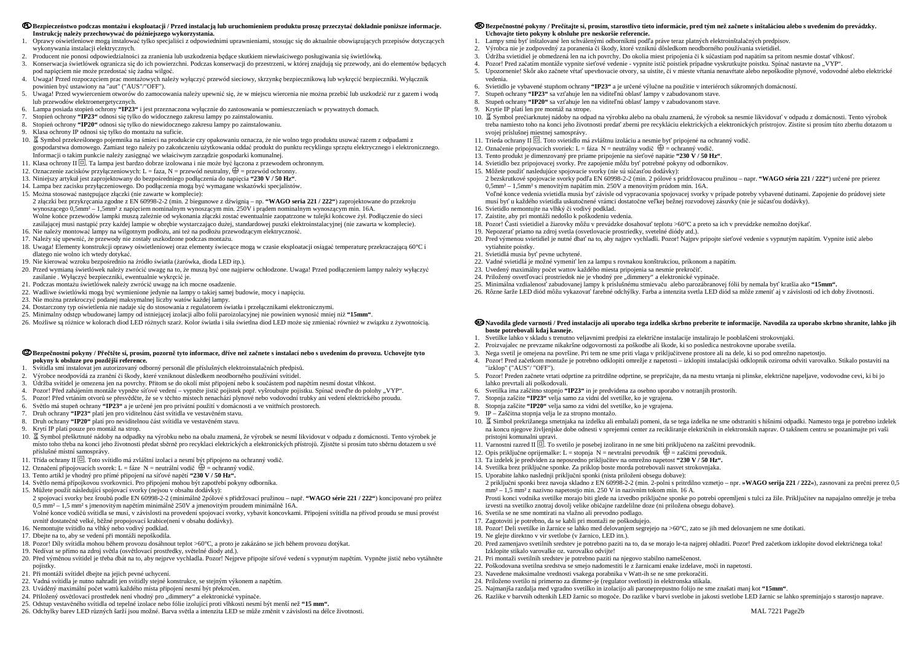#### **C**D Bezpieczeństwo podczas montażu i eksploatacji / Przed instalacja lub uruchomieniem produktu prosze przeczytać dokładnie poniższe informacje. **Instrukcję należy przechowywać do późniejszego wykorzystania.**

- 1. Oprawy oświetleniowe mogą instalować tylko specjaliści z odpowiednimi uprawnieniami, stosując się do aktualnie obowiązujących przepisów dotyczących wykonywania instalacji elektrycznych.
- 2. Producent nie ponosi odpowiedzialności za zranienia lub uszkodzenia będące skutkiem niewłaściwego posługiwania się <sup>ś</sup>wietlówką.
- 3. Konserwacja świetlówek ogranicza się do ich powierzchni. Podczas konserwacji do przestrzeni, w której znajdują się przewody, ani do elementów będących pod napięciem nie może przedostać się <sup>ż</sup>adna wilgoć.
- 4. Uwaga! Przed rozpoczęciem prac montażowych należy wyłączyć przewód sieciowy, skrzynkę bezpiecznikową lub wykręcić bezpieczniki. Wyłącznik powinien być ustawiony na "aut" ("AUS"/"OFF").
- 5. Uwaga! Przed wywierceniem otworów do zamocowania należy upewnić się, że w miejscu wiercenia nie można przebić lub uszkodzić rur z gazem i wodąlub przewodów elektroenergetycznych.
- 6. Lampa posiada stopień ochrony **"IP23"** i jest przeznaczona wyłącznie do zastosowania w pomieszczeniach w prywatnych domach.
- 7. Stopień ochrony **"IP23"** odnosi się tylko do widocznego zakresu lampy po zainstalowaniu.
- 8. Stopień ochrony **"IP20"** odnosi się tylko do niewidocznego zakresu lampy po zainstalowaniu.
- 9. Klasa ochrony IP odnosi się tylko do montażu na suficie.
- 10. Symbol przekreślonego pojemnika na śmieci na produkcie czy opakowaniu oznacza, że nie wolno tego produktu usuwać razem z odpadami z gospodarstwa domowego. Zamiast tego należy po zakończeniu użytkowania oddać produkt do punktu recyklingu sprzętu elektrycznego i elektronicznego. Informacji o takim punkcie należy zasięgnąć we właściwym zarządzie gospodarki komunalnej.
- 11. Klasa ochrony II  $\Box$ . Ta lampa jest bardzo dobrze izolowana i nie może być łączona z przewodem ochronnym.
- 12. Oznaczenie zacisków przyłączeniowych: L = faza, N = przewód neutralny,  $\bigoplus$  = przewód ochronny.
- 13. Niniejszy artykuł jest zaprojektowany do bezpośredniego podłączenia do napięcia **"230 V / 50 Hz"**.
- 14. Lampa bez zacisku przyłączeniowego. Do podłączenia mogą być wymagane wskazówki specjalistów.

### © Bezpečnostní pokyny / Přečtěte si, prosím, pozorně tyto informace, dříve než začnete s instalací nebo s uvedením do provozu. Uchovejte tyto **pokyny k obsluze pro pozdější reference.**

15. Można stosować następujące złączki (nie zawarte w komplecie): 2 złączki bez przykręcania zgodne z EN 60998-2-2 (min. 2 biegunowe z dźwignią – np. **"WAGO seria 221 / 222"**) zaprojektowane do przekroju wynoszącego 0,5mm² – 1,5mm² z napięciem nominalnym wynoszącym min. 250V i prądem nominalnym wynoszącym min. 16A. Wolne końce przewodów lampki muszą zależnie od wykonania złączki zostać ewentualnie zaopatrzone w tulejki końcowe żył. Podłączenie do sieci zasilającej musi nastąpić przy każdej lampie w obrębie wystarczająco dużej, standardowej puszki elektroinstalacyjnej (nie zawarta w komplecie).

- 16. Nie należy montować lampy na wilgotnym podłożu, ani też na podłożu przewodzącym elektryczność.
- 17. Należy się upewnić, że przewody nie zostały uszkodzone podczas montażu.
- 18. Uwaga! Elementy konstrukcji oprawy oświetleniowej oraz elementy świecące mogą w czasie eksploatacji osiągać temperaturę przekraczającą 60°C i dlatego nie wolno ich wtedy dotykać.
- 19. Nie kierować wzroku bezpośrednio na źródło światła (żarówka, dioda LED itp.).
- 20. Przed wymianą <sup>ś</sup>wietlówek należy zwrócić uwagę na to, że muszą być one najpierw ochłodzone. Uwaga! Przed podłączeniem lampy należy wyłączy<sup>ć</sup> zasilanie . Wyłączyć bezpieczniki, ewentualnie wykręcić je.
- 21. Podczas montażu świetlówek należy zwrócić uwagę na ich mocne osadzenie.
- 22. Wadliwe świetlówki mogą być wymienione jedynie na lampy o takiej samej budowie, mocy i napięciu.
- 23. Nie można przekroczyć podanej maksymalnej liczby watów każdej lampy.
- 24. Dostarczony typ oświetlenia nie nadaje się do stosowania z regulatorem światła i przełącznikami elektronicznymi.
- 25. Minimalny odstęp wbudowanej lampy od istniejącej izolacji albo folii paroizolacyjnej nie powinien wynosić mniej niż **"15mm"**.
- 26. Możliwe są różnice w kolorach diod LED różnych szarż. Kolor światła i siła świetlna diod LED może się zmieniać również w związku z żywotnością.

- 1. Svítidla smí instalovat jen autorizovaný odborný personál dle příslušných elektroinstalačních předpisů.
- 2. Výrobce neodpovídá za zranění či škody, které vzniknout důsledkem neodborného používání svítidel.
- 3. Údržba svítidel je omezena jen na povrchy. Přitom se do okolí míst připojení nebo k součástem pod napětím nesmí dostat vlhkost.
- 4. Pozor! Před zahájením montáže vypněte síťové vedení vypněte jistič pojistek popř. vyšroubujte pojistku. Spínač uveďte do polohy "VYP".
- 5. Pozor! Před vrtáním otvorů se přesvědčte, že se v těchto místech nenachází plynové nebo vodovodní trubky ani vedení elektrického proudu.
- 6. Světlo má stupeň ochrany **"IP23"** a je určené jen pro privátní použití v domácnosti a ve vnitřních prostorech.
- 7. Druh ochrany **"IP23"** platí jen pro viditelnou část svítidla ve vestavěném stavu.
- 8. Druh ochrany **"IP20"** platí pro neviditelnou část svítidla ve vestavěném stavu.
- 9. Krytí IP platí pouze pro montáž na strop.
- 10. 冨 Symbol přeškrtnuté nádoby na odpadky na výrobku nebo na obalu znamená, že výrobek se nesmí likvidovat v odpadu z domácnosti. Tento výrobek je místo toho třeba na konci jeho životnosti předat sběrně pro recyklaci elektrických a elektronických přístrojů. Zjistěte si prosím tuto sběrnu dotazem u své příslušné místní samosprávy.
- 11. Třída ochrany II  $\Box$ . Toto svítidlo má zvláštní izolaci a nesmí být připojeno na ochranný vodič.
- 12. Označení připojovacích svorek: L = fáze N = neutrální vodič  $\bigoplus$  = ochranný vodič.
- 13. Tento artikl je vhodný pro přímé připojení na síťové napětí **"230 V / 50 Hz".**
- 14. Světlo nemá přípojkovou svorkovnici. Pro připojení mohou být zapotřebí pokyny odborníka.
- 15. Můžete použít následující spojovací svorky (nejsou v obsahu dodávky):
- 2 spojovací svorky bez šroubů podle EN 60998-2-2 (minimálně 2pólové s přidržovací pružinou např. **"WAGO série 221 / 222"**) koncipované pro průřez 0,5 mm² – 1,5 mm² s jmenovitým napětím minimálně 250V a jmenovitým proudem minimálně 16A.
- Volné konce vodičů svítidla se musí, v závislosti na provedení spojovací svorky, vybavit koncovkami. Připojení svítidla na přívod proudu se musí provést uvnitř dostatečně velké, běžné propojovací krabice(není v obsahu dodávky).
- 16. Nemontujte svítidlo na vlhký nebo vodivý podklad.
- 17. Dbejte na to, aby se vedení při montáži nepoškodila.
- 18. Pozor! Díly svítidla mohou během provozu dosáhnout teplot >60°C, a proto je zakázáno se jich během provozu dotýkat.
- 19. Nedívat se přímo na zdroj světla (osvětlovací prostředky, světelné diody atd.).
- 20. Před výměnou svítidel je třeba dbát na to, aby nejprve vychladla. Pozor! Nejprve připojte síťové vedení s vypnutým napětím. Vypněte jistič nebo vytáhněte pojistky.
- 21. Při montáži svítidel dbejte na jejich pevné uchycení.
- 22. Vadná svítidla je nutno nahradit jen svítidly stejné konstrukce, se stejným výkonem a napětím.
- 23. Uváděný maximální počet wattů každého místa připojení nesmí být překročen.
- 24. Přiložený osvětlovací prostředek není vhodný pro "dimmery" a elektronické vypínače.
- 25. Odstup vestavěného svítidla od tepelné izolace nebo fólie izolující proti vlhkosti nesmí být menší než **"15 mm".**
- 26. Odchylky barev LED různých šarží jsou možné. Barva světla a intenzita LED se může změnit v závislosti na délce životnosti.

# **Bezpečnostné pokyny / Prečítajte si, prosím, starostlivo tieto informácie, pred tým než začnete s inštaláciou alebo s uvedením do prevádzky. Uchovajte tieto pokyny k obsluhe pre neskoršie referencie.**

- 1. Lampy smú byť inštalované len schválenými odborníkmi podľa práve teraz platných elektroinštalačných predpisov.
- 2. Výrobca nie je zodpovedný za poranenia či škody, ktoré vzniknú dôsledkom neodborného používania svietidiel.<br>3. Údržba svietidiel je obmedzená len na ich povrchy. Do okolia miest pripojenia či k súčastiam pod napätím sa
- 3. Údržba svietidiel je obmedzená len na ich povrchy. Do okolia miest pripojenia či k súčastiam pod napätím sa pritom nesmie dostať vlhkosť.
- 4. Pozor! Pred začatím montáže vypnite sieťové vedenie vypnite istič poistiek prípadne vyskrutkujte poistku. Spínač nastavte na "VYP".
- 5. Upozornenie! Skôr ako začnete vŕtať upevňovacie otvory, sa uistite, či v mieste vŕtania nenavŕtate alebo nepoškodíte plynové, vodovodné alebo elektrické vedenia.
- 6. Svietidlo je vybavené stupňom ochrany **"IP23"** a je určené výlučne na použitie v interiéroch súkromných domácností.
- 7. Stupeň ochrany **"IP23"** sa vzťahuje len na viditeľnú oblasť lampy v zabudovanom stave.
- 8. Stupeň ochrany **"IP20"** sa vzťahuje len na viditeľnú oblasť lampy v zabudovanom stave.
- 9. Krytie IP platí len pre montáž na strope.
- 10. 冨 Symbol prečiarknutej nádoby na odpad na výrobku alebo na obalu znamená, že výrobok sa nesmie likvidovať v odpadu z domácnosti. Tento výrobok treba namiesto toho na konci jeho životnosti predať zberni pre recykláciu elektrických a elektronických prístrojov. Zistite si prosím túto zberňu dotazom u svojej príslušnej miestnej samosprávy.
- 11. Trieda ochrany II □. Toto svietidlo má zvláštnu izoláciu a nesmie byť pripojené na ochranný vodič.
- 12. Označenie pripojovacích svoriek: L = fáza N = neutrálny vodič  $\bigoplus$  = ochranný vodič.
- 13. Tento produkt je dimenzovaný pre priame pripojenie na sieťové napätie **"230 V / 50 Hz"**.
- 14. Svietidlo bez pripojovacej svorky. Pre zapojenie môžu byť potrebné pokyny od odborníkov.
- 15. Môžete použiť nasledujúce spojovacie svorky (nie sú súčasťou dodávky): 2 bezskrutkové spojovacie svorky podľa EN 60998-2-2 (min. 2 pólové s pridržovacou pružinou – napr. **"WAGO séria 221 / 222"**) určené pre prierez 0,5mm² – 1,5mm² s menovitým napätím min. 250V a menovitým prúdom min. 16A. Voľné konce vedenia svietidla musia byť závisle od vypracovania spojovacej svorky v prípade potreby vybavené dutinami. Zapojenie do prúdovej siete musí byť u každého svietidla uskutočnené vrámci dostatočne veľkej bežnej rozvodovej zásuvky (nie je súčasťou dodávky).
- 16. Svietidlo nemontujte na vlhký či vodivý podklad.
- 17. Zaistite, aby pri montáži nedošlo k poškodeniu vedenia.
- 18. Pozor! Časti svietidiel a žiarovky môžu v prevádzke dosahovať teplotu >60°C a preto sa ich v prevádzke nemožno dotýkať.
- 19. Nepozerať priamo na zdroj svetla (osvetlovacie prostriedky, svetelné diódy atd.).
- 20. Pred výmenou svietidiel je nutné dbať na to, aby najprv vychladli. Pozor! Najprv pripojte sieťové vedenie s vypnutým napätím. Vypnite istič alebo
- vytiahnite poistky. 21. Svietidlá musia byť pevne uchytené.
- 
- 22. Vadné svietidlá je možné vymeniť len za lampu s rovnakou konštrukciou, príkonom a napätím. 23. Uvedený maximálny počet wattov každého miesta pripojenia sa nesmie prekročiť.
- 24. Priložený osvetľovací prostriedok nie je vhodný pre "dimmery" a elektronické vypínače.
- 25. Minimálna vzdialenosť zabudovanej lampy k príslušnému stmievaču alebo parozábranovej fólii by nemala byť kratšia ako **"15mm".**
- 26. Rôzne šarže LED diód môžu vykazovať farebné odchýlky. Farba a intenzita svetla LED diód sa môže zmeniť aj v závislosti od ich doby životnosti.
- **Navodila glede varnosti / Pred instalacijo ali uporabo tega izdelka skrbno preberite te informacije. Navodila za uporabo skrbno shranite, lahko jih boste potrebovali kdaj kasneje.**
- 1. Svetilke lahko v skladu s trenutno veljavnimi predpisi za električne instalacije instalirajo le pooblaščeni strokovnjaki.
- 2. Proizvajalec ne prevzame nikakršne odgovornosti za poškodbe ali škode, ki so posledica nestrokovne uporabe svetila.
- 3. Nega svetil je omejena na površine. Pri tem ne sme priti vlaga v priključitvene prostore ali na dele, ki so pod omrežno napetostjo.
	- "izklop" ("AUS"/ "OFF").
	- 5. Pozor! Preden začnete vrtati odprtine za pritrdilne odprtine, se prepričajte, da na mestu vrtanja ni plinske, električne napeljave, vodovodne cevi, ki bi jo lahko prevrtali ali poškodovali.
	- 6. Svetilka ima zaščitno stopnjo **"IP23"** in je predvidena za osebno uporabo v notranjih prostorih.
	- 7. Stopnja zaščite **"IP23"** velja samo za vidni del svetilke, ko je vgrajena.
- 8. Stopnja zaščite **"IP20"** velja samo za vidni del svetilke, ko je vgrajena.
- 9. IP Zaščitna stopnja velja le za stropno montažo.

4. Pozor! Pred začetkom montaže je potrebno odklopiti omrežje z napetosti – izklopiti instalacijski odklopnik oziroma odviti varovalko. Stikalo postaviti na

- 10. Simbol prekrižanega smetnjaka na izdelku ali embalaži pomeni, da se tega izdelka ne sme odstraniti s hišnimi odpadki. Namesto tega je potrebno izdelek na koncu njegove življenjske dobe odnesti v sprejemni center za recikliranje električnih in elektronskih naprav. O takšnem centru se pozanimajte pri vaši pristojni komunalni upravi.
- 11. Varnostni razred II  $\Box$ . To svetilo je posebej izolirano in ne sme biti priključeno na zaščitni prevodnik.
- 12. Opis priključne oprijemalke: L = stopnja N = nevtralni prevodnik  $\bigoplus$  = zaščitni prevodnik.
- 13. Ta izdelek je predviden za neposredno priključitev na omrežno napetost **"230 V / 50 Hz".**
- 14. Svetilka brez priključne sponke. Za priklop boste morda potrebovali nasvet strokovnjaka.
- 15. Uporabite lahko naslednji priključni sponki (nista priloženi obsegu dobave): 2 priključni sponki brez navoja skladno z EN 60998-2-2 (min. 2-polni s pritrdilno vzmetjo – npr. **»WAGO serija 221 / 222«**), zasnovani za prečni prerez 0,5 mm² – 1,5 mm² z nazivno napetostjo min. 250 V in nazivnim tokom min. 16 A. Prosti konci vodnika svetilke morajo biti glede na izvedbo priključne sponke po potrebi opremljeni s tulci za žile. Priključitev na napajalno omrežje je treba
- izvesti na svetilko znotraj dovolj velike običajne razdelilne doze (ni priložena obsegu dobave). 16. Svetila se ne sme nomtirati na vlažno ali prevodno podlago. 17. Zagotoviti je potrebno, da se kabli pri montaži ne poškodujejo.

18. Pozor! Deli svetilke in žarnice se lahko med delovanjem segrejejo na >60°C, zato se jih med delovanjem ne sme dotikati.

19. Ne glejte direktno v vir svetlobe (v žarnico, LED itn.).

20. Pred zamenjavo svetilnih sredstev je potrebno paziti na to, da se morajo le-ta najprej ohladiti. Pozor! Pred začetkom izklopite dovod električnega toka!

Izklopite stikalo varovalke oz. varovalko odvijte!

21. Pri montaži svetilnih sredstev je potrebno paziti na njegovo stabilno nameščenost.

22. Poškodovana svetilna sredstva se smejo nadomestiti le z žarnicami enake izdelave, moči in napetosti.

23. Navedene maksimalne vrednosti vsakega porabnika v Watt-ih se ne sme prekoračiti.

24. Priloženo svetilo ni primerno za dimmer-je (regulator svetlosti) in elektronska stikala.

25. Najmanjša razdalja med vgradno svetilko in izolacijo ali paroneprepustno folijo ne sme znašati manj kot **"15mm"**.

26. Razlike v barvnih odtenkih LED žarnic so mogoče. Do razlike v barvi svetlobe in jakosti svetlobe LED žarnic se lahko spreminjajo s starostjo naprave.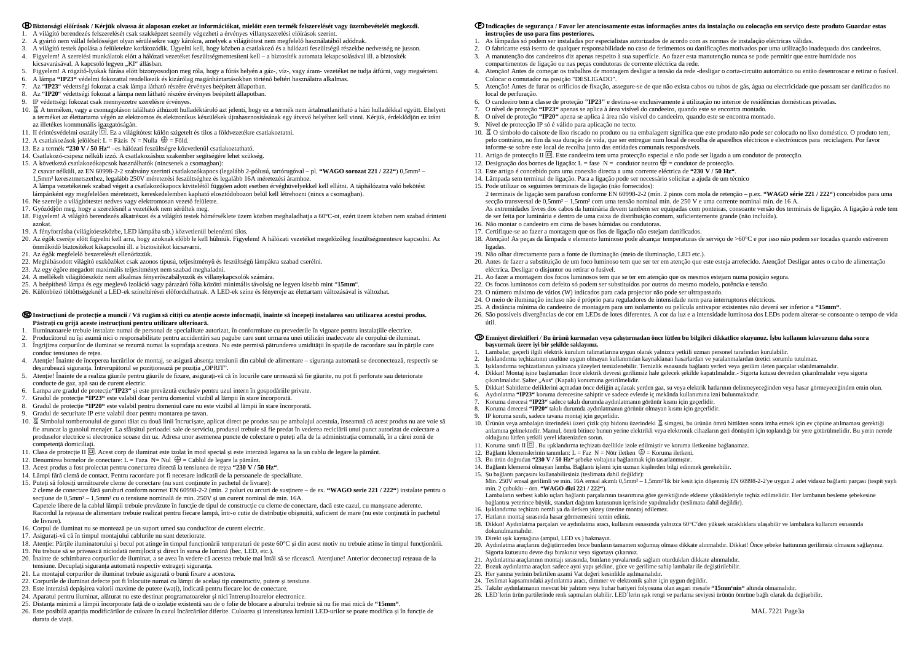#### **Biztonsági előírások / Kérjük olvassa át alaposan ezeket az információkat, mielőtt ezen termék felszerelését vagy üzembevételét megkezdi.**

- 1. A világító berendezés felszerelését csak szakképzet személy végezheti a érvényes villanyszerelési előírások szerint.
- 2. A gyártó nem vállal felelősséget olyan sérülésekre vagy károkra, amelyek a világítótest nem megfelelő használatából adódnak.
- 3. A világító testek ápolása a felületekre korlátozódik. Ügyelni kell, hogy közben a csatlakozó és a hálózati feszültségű részekbe nedvesség ne jusson.
- 4. Figyelem! A szerelési munkálatok előtt a hálózati vezetéket feszültségmentesíteni kell a biztosíték automata lekapcsolásával ill. a biztosíték kicsavarásával. A kapcsoló legyen "KI" állásban.
- 5. Figyelem! A rögzítő-lyukak fúrása előtt bizonyosodjon meg róla, hogy a fúrás helyén a gáz-, víz-, vagy áram- vezetéket ne tudja átfúrni, vagy megsérteni.
- 6. A lámpa **"IP23"** védelmi fokozattal rendelkezik és kizárólag magánháztartásokban történő beltéri használatra alkalmas.
- 7. Az "**IP23**" védettségi fokozat a csak lámpa látható részére érvényes beépített állapotban.
- 8. Az "**IP20**" védettségi fokozat a lámpa nem látható részére érvényes beépített állapotban.
- 9. IP védettségi fokozat csak mennyezetre szerelésre érvényes.
- 10. A terméken, vagy a csomagoláson található áthúzott hulladéktároló azt jelenti, hogy ez a termék nem ártalmatlanítható a házi hulladékkal együtt. Ehelyett a terméket az élettartama végén az elektromos és elektronikus készülékek újrahasznosításának egy átvevő helyéhez kell vinni. Kérjük, érdeklődjön ez iránt az illetékes kommunális igazgatóságán.
- 11. II érintésvédelmi osztály  $\Box$ . Ez a világítótest külön szigetelt és tilos a földvezetékre csatlakoztatni.
- 12. A csatlakozások jelölései: L = Fázis  $N =$  Nulla  $\bigoplus$  = Föld.
- 13. Ez a termék **"230 V / 50 Hz"** –es hálózati feszültségre közvetlenül csatlakoztatható.
- 14. Csatlakozó-csipesz nélküli izzó. A csatlakozáshoz szakember segítségére lehet szükség.
- 15. A következő csatlakozókapcsok használhatók (nincsenek a csomagban):

#### ® Instructiuni de protectie a muncii / Vă rugăm să cititi cu atentie aceste informatii, înainte să începeti instalarea sau utilizarea acestui produs. **Păstraţi cu grijă aceste instrucţiuni pentru utilizare ulterioară.**

- 1. Iluminatoarele trebuie instalate numai de personal de specialitate autorizat, în conformitate cu prevederile în vigoare pentru instalaţiile electrice.
- 2. Producătorul nu îşi asumă nici o responsabilitate pentru accidentări sau pagube care sunt urmarea unei utilizări inadecvate ale corpului de iluminat.
- 3. Îngrijirea corpurilor de iluminat se rezumă numai la suprafaţa acestora. Nu este permisă pătrunderea umidităţii în spaţiile de racordare sau în părţile care conduc tensiunea de retea.
- 4. Atenţie! Înainte de începerea lucrărilor de montaj, se asigură absenţa tensiunii din cablul de alimentare siguranţa automată se deconectează, respectiv se desurubează siguranta. Întrerupătorul se poziționează pe poziția ..OPRIT".
- 5. Atenţie! Înainte de a realiza găurile pentru găurile de fixare, asiguraţi-vă că în locurile care urmează să fie găurite, nu pot fi perforate sau deteriorate conducte de gaz, apă sau de curent electric.
- 6. Lampa are gradul de protecție**"IP23"** <sup>ș</sup>i este prevăzută exclusiv pentru uzul intern în gospodăriile private.
- 7. Gradul de protecţie **"IP23"** este valabil doar pentru domeniul vizibil al lămpii în stare încorporată.
- 8. Gradul de protecţie **"IP20"** este valabil pentru domeniul care nu este vizibil al lămpii în stare încorporată.
- 9. Gradul de securitate IP este valabil doar pentru montarea pe tavan.
- 10. 冨 Simbolul tomberonului de gunoi tăiat cu două linii încrucișate, aplicat direct pe produs sau pe ambalajul acestuia, înseamnă că acest produs nu are voie să fie aruncat la gunoiul menajer. La sfârşitul perioadei sale de serviciu, produsul trebuie să fie predat în vederea reciclării unui punct autorizat de colectare a produselor electrice si electronice scoase din uz. Adresa unor asemenea puncte de colectare o puteți afla de la administrația comunală, în a cărei zonă de competenţă domiciliaţi.
- 11. Clasa de protecție II  $\Box$ . Acest corp de iluminat este izolat în mod special și este interzisă legarea sa la un cablu de legare la pământ.
- 12. Denumirea bornelor de conectare: L = Faza  $N=$  Nul  $\bigoplus$  = Cablul de legare la pământ.
- 13. Acest produs a fost proiectat pentru conectarea directă la tensiunea de reţea **"230 V / 50 Hz"**.
- 14. Lămpi fără clemă de contact. Pentru racordare pot fi necesare indicatii de la persoanele de specialitate.
- 15. Puteți să folosiți următoarele cleme de conectare (nu sunt continute în pachetul de livrare):
- 2 cleme de conectare fără <sup>ş</sup>uruburi conform normei EN 60998-2-2 (min. 2 poluri cu arcuri de susţinere de ex. **"WAGO serie 221 / 222"**) instalate pentru o sectiune de 0,5mm<sup>2</sup> – 1,5mm<sup>2</sup> cu o tensiune nominală de min. 250V și un curent nominal de min. 16A.

 2 csavar nélküli, az EN 60998-2-2 szabvány szerinti csatlakozókapocs (legalább 2-pólusú, tartórugóval – pl. **"WAGO sorozat 221 / 222"**) 0,5mm² – 1,5mm² keresztmetszethez, legalább 250V méretezési feszültséghez és legalább 16A méretezési áramhoz.

- A lámpa vezetékeinek szabad végeit a csatlakozókapocs kivitelétől függően adott esetben érvéghüvelyekkel kell ellátni. A táphálózatra való bekötést lámpánként egy megfelelően méretezett, kereskedelemben kapható elosztódobozon belül kell létrehozni (nincs a csomagban).
- 16. Ne szerelje a világítótestet nedves vagy elektromosan vezető felületre.
- 17. Győződjön meg, hogy a szerelésnél a vezetékek nem sérültek meg.
- 18. Figyelem! A világító berendezés alkatrészei és a világító testek hőmérséklete üzem közben meghaladhatja a 60°C-ot, ezért üzem közben nem szabad érinteni azokat.
- 19. A fényforrásba (világítóeszközbe, LED lámpába stb.) közvetlenül belenézni tilos.
- 20. Az égők cseréje előtt figyelni kell arra, hogy azoknak előbb le kell hűlniük. Figyelem! A hálózati vezetéket megelőzőleg feszültségmentesre kapcsolni. Az önműködő biztosítékot kikapcsolni ill. a biztosítékot kicsavarni.
- 21. Az égők megfelelő beszerelését ellenőrizzük.
- 22. Meghibásodott világító eszközöket csak azonos típusú, teljesítményű és feszültségű lámpákra szabad cserélni.
- 23. Az egy égőre megadott maximális teljesítményt nem szabad meghaladni.
- 24. A mellékelt világítóeszköz nem alkalmas fényerőszabályozók és villanykapcsolók számára.
- 25. A beépíthető lámpa és egy meglevő izoláció vagy párazáró fólia közötti minimális távolság ne legyen kisebb mint "**15mm**".
- 26. Különböző töltöttségeknél a LED-ek színeltérései előfordulhatnak. A LED-ek színe és fényereje az élettartam változásával is változhat.

Capetele libere de la cablul lămpii trebuie prevăzute în funcție de tipul de construcție cu cleme de conectare, dacă este cazul, cu manșoane aderente. Racordul la reţeaua de alimentare trebuie realizat pentru fiecare lampă, într-o cutie de distribuţie obişnuită, suficient de mare (nu este conţinută în pachetul de livrare).

- 16. Corpul de iluminat nu se montează pe un suport umed sau conducător de curent electric.
- 17. Asiguraţi-vă că în timpul montajului cablurile nu sunt deteriorate.
- 18. Atenţie: Părţile iluminatorului şi becul pot atinge în timpul funcţionării temperaturi de peste 60°C şi din acest motiv nu trebuie atinse în timpul funcţionării. 19. Nu trebuie să se privească niciodată nemijlocit şi direct în sursa de lumină (bec, LED, etc.).
- 20. Înainte de schimbarea corpurilor de iluminat, a se avea în vedere că acestea trebuie mai întâi să se răcească. Atenţiune! Anterior deconectaţi reţeaua de la tensiune. Decuplați siguranța automată respectiv extrageți siguranța.
- 21. La montajul corpurilor de iluminat trebuie asigurată o bună fixare a acestora.
- 22. Corpurile de iluminat defecte pot fi înlocuite numai cu lămpi de acelaşi tip constructiv, putere şi tensiune.
- 23. Este interzisă depăşirea valorii maxime de putere (waţi), indicată pentru fiecare loc de conectare.
- 24. Aparatul pentru iluminat, alăturat nu este destinat programatoarelor şi nici întrerupătoarelor electronice.
- 25. Distanţa minimă a lămpii încorporate faţă de o izolaţie existentă sau de o folie de blocare a aburului trebuie să nu fie mai mică de **"15mm"**.
- 26. Este posibilă apariția modificărilor de culoare în cazul încărcărilor diferite. Culoarea și intensitatea luminii LED-urilor se poate modifica <sup>ș</sup>i în funcție de durata de viață.

### **Indicações de segurança / Favor ler atenciosamente estas informações antes da instalação ou colocação em serviço deste produto Guardar estas**

4. Atenção! Antes de começar os trabalhos de montagem desligar a tensão da rede -desligar o corta-circuito automático ou então desenroscar e retirar o fusível.

5. Atenção! Antes de furar os orifícios de fixação, assegure-se de que não exista cabos ou tubos de gás, água ou electricidade que possam ser danificados no

10. 冨 O símbolo do caixote de lixo riscado no produto ou na embalagem significa que este produto não pode ser colocado no lixo doméstico. O produto tem,

- **instruções de uso para fins posteriores.**
- 1. As lâmpadas só podem ser instaladas por especialistas autorizados de acordo com as normas de instalação eléctricas válidas.
- 2. O fabricante está isento de qualquer responsabilidade no caso de ferimentos ou danificações motivados por uma utilização inadequada dos candeeiros.
- 3. A manutenção dos candeeiros diz apenas respeito à sua superfície. Ao fazer esta manutenção nunca se pode permitir que entre humidade nos
- compartimentos de ligação ou nas peças condutoras de corrente eléctrica da rede.
- Colocar o comutador na posição "DESLIGADO".
- local de perfuração.
- 6. O candeeiro tem a classe de proteção **"IP23"** e destina-se exclusivamente à utilização no interior de residências domésticas privadas.
- 7. O nível de proteção **"IP23"** apenas se aplica à área visível do candeeiro, quando este se encontra montado.
- 8. O nível de proteção **"IP20"** apena se aplica à área não visível do candeeiro, quando este se encontra montado. 9. Nível de protecção IP só é válido para aplicação no tecto.
- 
- pelo contrário, no fim da sua duração de vida, que ser entregue num local de recolha de aparelhos eléctricos e electrónicos para reciclagem. Por favor informe-se sobre este local de recolha junto das entidades comunais responsáveis.
- 11. Artigo de protecção II  $\Box$ . Este candeeiro tem uma protecção especial e não pode ser ligado a um condutor de protecção. 12. Designação dos bornes de ligação: L = fase  $N =$  condutor neutro  $\bigoplus$  = condutor de protecção.
- 13. Este artigo é concebido para uma conexão directa a uma corrente eléctrica de **"230 V / 50 Hz"**.
- 14. Lâmpada sem terminal de ligação. Para a ligação pode ser necessário solicitar a ajuda de um técnico
- 15. Pode utilizar os seguintes terminais de ligação (não fornecidos):
- secção transversal de 0,5mm² 1,5mm² com uma tensão nominal mín. de 250 V e uma corrente nominal mín. de 16 A. As extremidades livres dos cabos da luminária devem também ser equipadas com ponteiras, consoante versão dos terminais de ligação. A ligação à rede tem de ser feita por luminária e dentro de uma caixa de distribuição comum, suficientemente grande (não incluída).
- 16. Não montar o candeeiro em cima de bases húmidas ou condutoras.
- 17. Certifique-se ao fazer a montagem que os fios de ligação não estejam danificados.
- ligadas.
- 19. Não olhar directamente para a fonte de iluminação (meio de iluminação, LED etc.).
- 20. Antes de fazer a substituição de um foco luminoso tem que ser ter em atenção que este esteja arrefecido. Atenção! Desligar antes o cabo de alimentação eléctrica. Desligar o disjuntor ou retirar o fusível.
- 21. Ao fazer a montagem dos focos luminosos tem que se ter em atenção que os mesmos estejam numa posição segura.
- 22. Os focos luminosos com defeito só podem ser substituídos por outros do mesmo modelo, potência e tensão.
- 23. O número máximo de vátios (W) indicados para cada projector não pode ser ultrapassado.
- 24. O meio de iluminação incluso não é próprio para reguladores de intensidade nem para interruptores eléctricos.
- 25. A distância mínima do candeeiro de montagem para um isolamento ou película antivapor existentes não deverá ser inferior a **"15mm"**.
- útil.

2 terminais de ligação sem parafuso conforme EN 60998-2-2 (mín. 2 pinos com mola de retenção – p.ex. **"WAGO série 221 / 222"**) concebidos para uma

18. Atenção! As peças da lâmpada e elemento luminoso pode alcançar temperaturas de serviço de >60°C e por isso não podem ser tocadas quando estiverem

26. São possíveis divergências de cor em LEDs de lotes diferentes. A cor da luz e a intensidade luminosa dos LEDs podem alterar-se consoante o tempo de vida

#### **Emniyet direktifleri / Bu ürünü kurmadan veya çalıştırmadan önce lütfen bu bilgileri dikkatlice okuyunuz. İşbu kullanım kılavuzunu daha sonra başvurmak üzere iyi bir şekilde saklayınız.**

4. Dikkat! Montaj işine başlamadan önce elektrik devresi gerilimsiz hale gelecek şekilde kapatılmalıdır.- Sigorta kutusu devreden çıkarılmalıdır veya sigorta

- 1. Lambalar, geçerli ilgili elektrik kurulum talimatlarına uygun olarak yalnızca yetkili uzman personel tarafından kurulabilir.
- 2. Işıklandırma teçhizatının usulüne uygun olmayan kullanımdan kaynaklanan hasarlardan ve yaralanmalardan üretici sorumlu tutulmaz.
- 3. Işıklandırma teçhizatlarının yalnızca yüzeyleri temizlenebilir. Temizlik esnasında bağlantı yerleri veya gerilim ileten parçalar ıslatılmamalıdır.
- 
- çıkarılmalıdır. Salter "Aus" (Kapalı) konumuna getirilmelidir.
- 
- 6. Aydınlatma **"IP23"** koruma derecesine sahiptir ve sadece evlerde iç mekânda kullanımına izni bulunmaktadır.
- 7. Koruma derecesi **"IP23"** sadece takılı durumda aydınlatmanın görünür kısmı için geçerlidir.
- 8. Koruma derecesi **"IP20"** takılı durumda aydınlatmanın görünür olmayan kısmı için geçerlidir.

5. Dikkat! Sabitleme deliklerini açmadan önce deliğin açılacak yerden gaz, su veya elektrik hatlarının delinmeyeceğinden veya hasar görmeyeceğinden emin olun.

10. Ürünün veya ambalajın üzerindeki üzeri çizik çöp bidonu üzerindeki 冨 simgesi, bu ürünün ömrü bittikten sonra imha etmek için ev çöpüne atılmaması gerektiği

- 9. IP koruma sınıfı, sadece tavana montaj için geçerlidir.
- anlamına gelmektedir. Mamul, ömrü bitince bunun yerine elektrikli veya elektronik cihazların geri dönüşüm için toplandığı bir yere götürülmelidir. Bu yerin nerede olduğunu lütfen yetkili yerel idarenizden sorun.
- 11. Koruma sınıfı II  $\Box$  . Bu ışıklandırma teçhizatı özellikle izole edilmiştir ve koruma iletkenine bağlanamaz.
- 12. Bağlantı klemenslerinin tanımları: L = Faz N = Nötr iletken  $\bigoplus$  = Koruma iletkeni.
- 13. Bu ürün doğrudan **"230 V / 50 Hz"** <sup>ş</sup>ebeke voltajına bağlanmak için tasarlanmıştır.

14. Bağlantı klemensi olmayan lamba. Bağlantı işlemi için uzman kişilerden bilgi edinmek gerekebilir.

Min. 250V emsal gerilimli ve min. 16A emsal akımlı 0,5mm<sup>2</sup> – 1,5mm<sup>2</sup>'lik bir kesit için döşenmiş EN 60998-2-2'ye uygun 2 adet vidasız bağlantı parçası (tespit yaylı

15. Şu bağlantı parçasını kullanabilirsiniz (teslimata dahil değildir):

min. 2 çubuklu – örn. **"WAGO dizi 221 / 222"**).

 Lambaların serbest kablo uçları bağlantı parçalarının tasarımına göre gerektiğinde ekleme yüksükleriyle teçhiz edilmelidir. Her lambanın besleme şebekesine bağlantısı yeterince büyük, standart dağıtım kutusunun içerisinde yapılmalıdır (teslimata dahil değildir).

16. Işıklandırma teçhizatı nemli ya da iletken yüzey üzerine montaj edilemez.

17. Hatların montaj sırasında hasar görmemesini temin ediniz.

18. Dikkat! Aydınlatma parçaları ve aydınlatma aracı, kullanım esnasında yalnızca 60°C'den yüksek sıcaklıklara ulaşabilir ve lambalara kullanım esnasında

dokunulmamalıdır.

19. Direkt ışık kaynağına (ampul, LED vs.) bakmayın.

20. Aydınlatma araçlarını değiştirmeden önce bunların tamamen soğumuş olması dikkate alınmalıdır. Dikkat! Önce şebeke hattınının gerilimsiz olmasını sağlayınız.

Sigorta kutusunu devre dışı bırakınız veya sigortayı çıkarınız.

 21. Aydınlatma araçlarının montajı sırasında, bunların yuvalarında sağlam oturdukları dikkate alınmalıdır. 22. Bozuk aydınlatma araçları sadece ayni yapı şekline, güce ve gerilime sahip lambalar ile değiştirilebilir.

23. Her yanma yerinin belirtilen azami Vat değeri kesinlikle aşılmamalıdır.

24. Teslimat kapsamındaki aydınlatma aracı, dimmer ve elektronik şalter için uygun değildir.

 25. Takılır aydınlatmanın mevcut bir yalıtım veya buhar bariyeri folyosuna olan asgari mesafe **"15mm'nin"** altında olmamalıdır. 26. LED´lerin ürün partilerinde renk sapmaları olabilir. LED´lerin ışık rengi ve parlama seviyesi ürünün ömrüne bağlı olarak da değişebilir.

MAL 7221 Page3a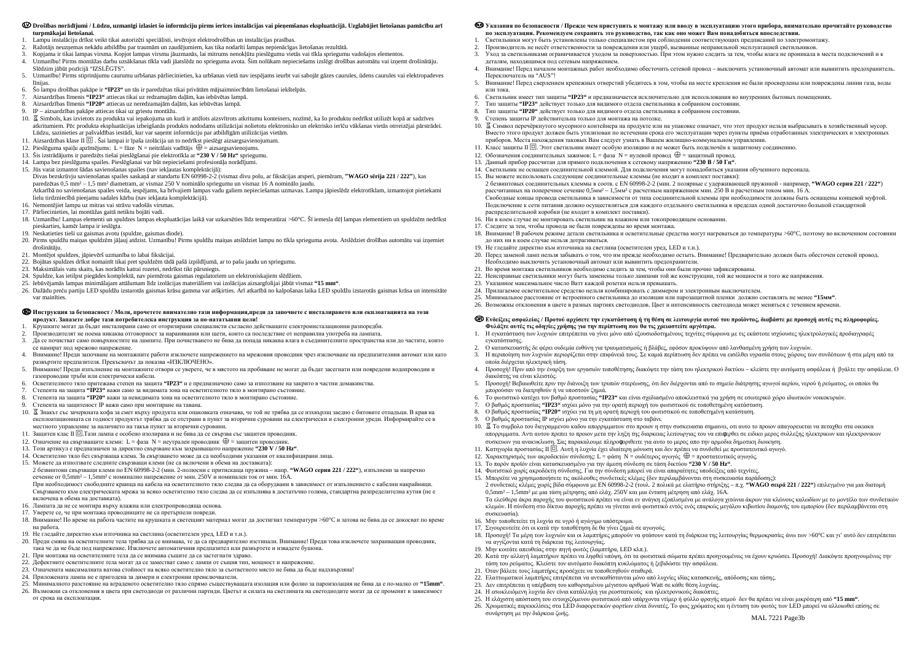#### © Drošības norādījumi / Lūdzu, uzmanīgi izlasiet šo informāciju pirms ierīces instalācijas vai pieņemšanas ekspluatācijā. Uzglabājiet lietošanas pamācību arī **turpmākajai lietošanai.**

- 1. Lampu instalāciju drīkst veikt tikai autorizēti speciālisti, ievērojot elektrodrošības un instalācijas prasības.
- 2. Ražotājs neuzņemas nekādu atbildību par traumām un zaudējumiem, kas tika nodarīti lampas nepien<sup>ā</sup>cīgas lietošanas rezultātā.
- 3. Kopjama ir tikai lampas virsma. Kopjot lampas virsmu j<sup>ā</sup>uzmanās, lai mitrums nenokļūtu piesl<sup>ē</sup>gumu vietās vai tīkla spriegumu vadošajos elementos.
- 4. Uzmanību! Pirms montāžas darbu uzsākšanas tīkla vadi jāatslēdz no sprieguma avota. Šim nolūkam nepieciešams izsl<sup>ē</sup>gt drošības automātu vai izņemt drošināt<sup>ā</sup>ju.
- Slēdzim jābūt poz<sup>ī</sup>cij<sup>ā</sup> "IZSLĒGTS". 5. Uzmanību! Pirms stiprinājumu caurumu urbšanas pārliecinieties, ka urbšanas vietā nav iespējams ieurbt vai sabojāt gāzes caurules, ūdens caurules vai elektropadeves līnijas.
- 6. Šo lampu drošības pak<sup>ā</sup>pe ir **"IP23"** un t<sup>ā</sup>s ir paredzētas tikai priv<sup>ā</sup>tām m<sup>ā</sup>jsaimniecībām lietošanai iekštelp<sup>ā</sup>s.
- 7. Aizsardzības līmenis **"IP23"** attiecas tikai uz redzamajām daļām, kas iebūv<sup>ē</sup>tas lamp<sup>ā</sup>.
- 8. Aizsardzības līmenis **"IP20"** attiecas uz neredzamajām daļām, kas iebūv<sup>ē</sup>tas lamp<sup>ā</sup>.
- 9. IP aizsardzības pak<sup>ā</sup>pe attiecas tikai uz griestu montāžu.
- 10. Simbols, kas izvietots zu produkta vai iepakojuma un kurā ir attēlots aizsvītrots atkritumu konteiners, nozīmē, ka šo produktu nedrīkst utilizēt kopā ar sadzīves atkritumiem. Pēc produkta ekspluatācijas izbeigšan<sup>ā</sup>s produkts nododams utilizācijai nolietotu elektronisko un elektrisko ierīču vākšanas vietās otrreizējai p<sup>ā</sup>rstrādei. Lūdzu, sazinieties ar pašvaldības iestādi, kur var saņemt informāciju par atbild<sup>ī</sup>gām utilizācijas viet<sup>ā</sup>m.
- 11. Aizsardzības klase II □ . Šai lampai ir īpaša izolācija un to nedrīkst pieslēgt aizsargsavienojumam.<br>12. Pieslēmīma snailu anzīmējums: I fāze N neitrālais vadītājs ⊕ aizsargsavienojums
- 12. Pieslēguma spaiļu apzīmējums: L = fāze N = neitrālais vadītājs  $\bigoplus$  = aizsargsavienojums.
- 13. Šis izstrādājums ir paredzēts tiešai piesl<sup>ē</sup>gšanai pie elektrotīkla ar **"230 V / 50 Hz"** spriegumu.
- 14. Lampa bez piesl<sup>ē</sup>guma spailes. Pieslēgšanai var būt nepieciešami profesionāļa norādījumi.
- 15. Jūs varat izmantot šādas savienošanas spailes (nav iekļautas komplektācijā):
- Divas bezskrūvju savienošanas spailes saskaņ<sup>ā</sup> ar standartu EN 60998-2-2 (vismaz divu polu, ar fiksācijas atsperi, piem<sup>ē</sup>ram, **"WAGO sērija 221 / 222"**), kas paredzētas 0,5 mm² – 1,5 mm² diametram, ar vismaz 250 V nominālo spriegumu un vismaz 16 A nominālo jaudu.
- Atkarībā no savienošanas spailes veida, iespējams, ka brīvajiem lampas vadu galiem nepieciešamas uzmavas. Lampa j<sup>ā</sup>pieslēdz elektrotīklam, izmantojot pietiekami lielu tirdzniecībā pieejamu sadales kārbu (nav iekļauta komplektācijā).
- 16. Nemontējiet lampu uz mitras vai strāvu vadošās virsmas.
- 17. Pārliecinieties, lai montāžas gaitā netiktu bojāti vadi.
- 18. Uzmanību! Lampas elementi un spuldzes lampas ekspluatācijas laikā var uzkarsēties līdz temperatūrai >60°C. Šī iemesla dēļ lampas elementiem un spuldzēm nedrīkst pieskarties, kamēr lampa ir iesl<sup>ē</sup>gta.
- 19. Neskatieties tieši uz gaismas avotu (spuldze, gaismas diode).
- 20. Pirms spuldžu maiņas spuldzēm jāļauj atdzist. Uzmanību! Pirms spuldžu maiņas atslēdziet lampu no tīkla sprieguma avota. Atslēdziet drošības automātu vai izņemiet drošinātāju.
- 21. Montējot spuldzes, j<sup>ā</sup>pievērš uzmanība to labai fiksācijai.
- 22. Bojātas spuldzes drīkst nomainīt tikai pret spuldz<sup>ē</sup>m tādā pašā izpildījum<sup>ā</sup>, ar to pašu jaudu un spriegumu.
- 23. Maksimālais vatu skaits, kas norādīts katrai rozetei, nedrīkst tikt pārsniegts.
- 24. Spuldze, kas ietilpst piegādes komplekt<sup>ā</sup>, nav piemērota gaismas regulatoriem un elektroniskajiem slēdžiem.
- 25. Iebūv<sup>ē</sup>jamās lampas minimālajam attālumam līdz izolācijas materiāliem vai izolācijas aizsargfolijai jābūt vismaz **"15 mm"**.
- 26. Dažādu preču partiju LED spuldžu izstarot<sup>ā</sup>s gaismas krāsu gamma var atšķirties. Arī atkarībā no kalpošanas laika LED spuldžu izstarot<sup>ā</sup>s gaismas krāsa un intensitāte var mainīties.

### ® Инструкция за безопасност / Моля, прочетете внимателно тази информация,преди да започнете с инсталирането или екплоатацията на този **продукт. Запазете добре тази потребителска инструкция за по-нататъшни цели!**

2 безвинтови свързващи клеми по EN 60998-2-2 (мин. 2-полюсни <sup>с</sup> притискаща пружина – напр. **"WAGO серия 221 / 222"**), изпълнени за напречно сечение от 0,5mm<sup>2</sup> – 1,5mm<sup>2</sup> с номинално напрежение от мин. 250V и номинален ток от мин. 16A.

# Указания по безопасности / Прежде чем приступить к монтажу или вводу в эксплуатацию этого прибора, внимательно прочитайте руководство<br>— не энепановании "Веноманичика оскромить это руководство дам ном еще мощет Вом понодоб **по эксплуатации. Рекомендуем сохранить это руководство, так как оно может Вам понадобиться впоследствии.**

- 1. Крушките могат да бъдат инсталирани само от оторизирани специалисти съгласно действащите електроинсталационни разпоредби.
- 2. Производителят не поема никаква отговорност за наранявания или щети, които са последствие от неправилна употреба на лампата.
- 3. Да се почистват само повърхностите на лампите. При почистването не бива да попада никаква влага <sup>в</sup> съединителните пространства или до частите, които се намират под мрежово напрежение.
- 4. Внимание! Преди започване на монтажните работи изключете напрежението на мрежовия проводник чрез изключване на предпазителния автомат или като развъртите предпазителя. Прекъсвачът да показва «ИЗКЛЮЧЕНО».
- 5. Внимание! Преди изпълнение на монтажните отвори се уверете, че <sup>в</sup> мястото на пробиване не могат да бъдат засегнати или повредени водопроводни <sup>и</sup> газопроводни тръби или електрически кабели.
- 6. Осветителното тяло притежава степен на защита **"IP23"** <sup>и</sup> <sup>е</sup> предназначено само за използване на закрито <sup>в</sup> частни домакинства.
- 7. Степента на защита **"IP23"** важи само за видимата зона на осветителното тяло <sup>в</sup> монтирано състояние.
- 8. Степента на защита **"IP20"** важи за невидимата зона на осветителното тяло <sup>в</sup> монтирано състояние.
- 9. Степента на защитеност IP важи само при монтиране на тавана.
- 10. © Знакът със зачеркната кофа за смет върху продукта или опаковката означава, че той не трябва да се изхвърлщ заедно с битовите отпадъци. В края на<br>Секреторичението си рошест продукта трабва да се отстрани в пушк за вт експлоатационната си годност продуктът трябва да се отстрани <sup>в</sup> пункт за вторични суровини на електрически <sup>и</sup> електронни уреди. Информирайте се <sup>в</sup> местното управление за наличието на такъв пункт за вторични суровини.
- 11. Защитен клас II ⊡.Тази лампа е особено изолирана и не бива да се свързва със защитен проводник.
- 12. Означение на свързващите клеми: L = фаза N = неутрален проводник = защитен проводник.
- 13. Този артикул <sup>е</sup> предназначен за директно свързване към захранващото напрежение **"230 V / 50 Hz"**.
- 14. Осветително тяло без свързваща клема. За свързването може да са необходими указания от квалифицирани лица.
- 15. Можете да използвате следните свързващи клеми (не са включени <sup>в</sup> обема на доставката):

# ® Ενδείξεις ασφαλείας / Προτού αρχίσετε την εγκατάσταση ή τη θέση σε λειτουργία αυτού του προϊόντος, διαβάστε με προσοχή αυτές τις πληροφορίες. **Φυλάξτε αυτές τις οδηγίες χρήσης για την περίπτωση που θα τις χρειαστείτε αργότερα.**

При необходимост свободните краища на кабела на осветителното тяло следва да са оборудвани <sup>в</sup> зависимост от изпълнението <sup>с</sup> кабелни накрайници. Свързването към електрическата мрежа за всяко осветително тяло следва да се изпълнява <sup>в</sup> достатъчно голяма, стандартна разпределителна кутия (не <sup>е</sup> включена <sup>в</sup> обема на доставката).

- 16. Лампата да не се монтира върху влажна или електропроводяща основа.
- 17. Уверете се, че при монтажа проводниците не са претърпели повреди.
- 18. Внимание! По време на работа частите на крушката <sup>и</sup> светещият материал могат да достигнат температури >60°C <sup>и</sup> затова не бива да се докосват по време на работа.
- 19. Не гледайте директно към източника на светлина (осветителен уред, LED <sup>и</sup> <sup>т</sup>.<sup>н</sup>.).
- 20. Преди смяна на осветителните тела трябва да се внимава, те да са предварително изстинали. Внимание! Преди това изключете захранващия проводник, така че да не бъде под напрежение. Изключете автоматичния предпазител или развъртете <sup>и</sup> извадете бушона.
- 21. При монтажа на осветителните тела да се внимава същите да са застегнати здраво.
- 22. Дефектните осветителните тела могат да се заместват само <sup>с</sup> лампи от същия тип, мощност <sup>и</sup> напрежение.
- 23. Означената максималната ватова стойност на всяко осветително тяло за съответното място не бива да бъде надхвърляна!
- 24. Приложената лампа не <sup>е</sup> пригодена за димери <sup>и</sup> електронни превключватели.
- 25. Минималното разстояние на вграденото осветително тяло спрямо съществуващата изолация или фолио за пароизолация не бива да <sup>е</sup> по-малко от **"15mm"**.
- 26. Възможни са отклонения <sup>в</sup> цвета при светодиоди от различни партиди. Цветът <sup>и</sup> силата на светлината на светодиодите могат да се променят <sup>в</sup> зависимост от срока на експлоатация.

тока. 6. Светильник имеет тип защиты **"IP23"** <sup>и</sup> предназначается исключительно для использования во внутренних бытовых помещениях.

10. • Символ перечёркнутого мусорного контейнера на продукте или на упаковке означает, что этот продукт нельзя выбрасывать в хозяйственный мусор.<br>Вместо этого продукт должен быть утидиоронно истенении срока его эксплуатац

- 1. Светильники могут быть установлены только специалистом при соблюдении соответствующих предписани<sup>й</sup> по электромонтажу.
- 
- 2. Производитель не несёт ответственности за повреждения или ущерб, вызванные неправильно<sup>й</sup> эксплуатацие<sup>й</sup> светильников. 3. Уход за светильниками ограничивается уходом за поверхностью. При этом нужно следить за тем, чтобы влага не проникала <sup>в</sup> места подключений <sup>и</sup> <sup>к</sup>
- деталям, находящимся под сетевым напряжением. 4. Внимание! Перед началом монтажных работ необходимо обесточить сетевой провод – выключить установочны<sup>й</sup> автомат или вывинтить предохранитель. Переключатель на "AUS"!
- 5. Внимание! Перед сверлением крепежных отверсти<sup>й</sup> <sup>у</sup>бедитесь <sup>в</sup> том, чтобы на месте крепления не были просверлены или повреждены линии газа, воды или тока.
- 
- 7. Тип защиты **"IP23"** действует только для видимого отдела светильника <sup>в</sup> собранном состоянии.
- 8. Тип защиты **"IP20"** действует только для видимого отдела светильника <sup>в</sup> собранном состоянии.
- 9. Степень защиты IP действительна только для монтажа на потолке.
- Вместо этого продукт должен быть утилизован по истечении срока его эксплуатации через пункты приёма отработанных электрических <sup>и</sup> электронных
- приборов. Места нахождения таковых Вам следует узнать в Вашем жилищно-коммунальном управлении.<br>-11. Класс защиты II □. Этот светильник имеет особую изоляцию и не может быть подключён к защитному соединению.<br>12. ⊙⊂
- 12. Обозначения соединительных зажимов: L = фаза N = нулевой провод  $\oplus$  = защитный провод.
- 13. Данный прибор рассчитан для прямого подключения <sup>к</sup> сетевому напряжению **"230 В / 50 Гц"**.
- 14. Светильник не оснащен соединительной клеммой. Для подключения могут понадобиться указания обученного персонала.
- 15. Вы можете использовать следующие соединительные клеммы (не входят <sup>в</sup> комплект поставки): 2 безвинтовых соединительных клеммы <sup>в</sup> соотв. <sup>с</sup> EN 60998-2-2 (мин. 2 полярные <sup>с</sup> удерживающе<sup>й</sup> пружино<sup>й</sup> - например, **"WAGO серия 221 / 222"**) рассчитанных на поперечное сечение 0,5мм² – 1,5мм² с расчетным напряжением мин. 250 В и расчетным током мин. 16 А.<br>С Свободные концы провода светильника <sup>в</sup> зависимости от типа соединительной клеммы при необходимости должны быть оснащены концевой муфтой. Подключение <sup>к</sup> сети питания должно осуществляться для каждого отдельного светильника <sup>в</sup> пределах одной достаточно большой стандартно<sup>й</sup> распределительной коробки (не входит <sup>в</sup> комплект поставки).
- 16. Ни <sup>в</sup> коем случае не монтировать светильник на влажном или токопроводящем основании.
- 17. Следите за тем, чтобы провода не были повреждены во время монтажа.<br>19. В
- 18. Внимание! В рабочем режиме детали светильника <sup>и</sup> осветительные средства могут нагреваться до температуры >60°C, поэтому во включенном состоянии до них ни <sup>в</sup> коем случае нельзя дотрагиваться.
- 19. Не гледайте директно към източника на светлина (осветителен уред, LED <sup>и</sup> <sup>т</sup>.<sup>н</sup>.).
- 20. Перед заменой ламп нельзя забывать <sup>о</sup> том, что им прежде необходимо остыть. Внимание! Предварительно должен быть обесточен сетевой провод. Необходимо выключить установочны<sup>й</sup> автомат или вывинтить предохранители.
- 21. Во время монтажа светильников необходимо следить за тем, чтобы они были прочно зафиксированы.
- 
- 22. Неисправные светильники могут быть заменены только лампами той же конструкции, той же мощности <sup>и</sup> того же напряжения. 23. Указанное максимальное число Ватт каждой розетки нельзя превышать.
- 24. Прилагаемое осветительное средство нельзя комбинировать <sup>с</sup> диммером <sup>и</sup> электронным выключателем.
- 
- 

25. Минимальное расстояние от встроенного светильника до изоляции или парозащитно<sup>й</sup> пленки должно составлять не менее **"15мм"**.

26. Возможны отклонения <sup>в</sup> цвете <sup>в</sup> разных партиях светодиодов. Цвет <sup>и</sup> интенсивность светодиода может меняться <sup>с</sup> течением времени.

6. Το φωτιστικό κατέχει τον βαθμό προστασίας **"IP23"** και είναι σχεδιασμένο αποκλειστικά για χρήση σε εσωτερικό <sup>χ</sup>ώρο ιδιωτικών νοικοκυριών.

- 1. Η εγκατάσταση των λυχνιών επιτρέπεται να <sup>γ</sup>ίνει <sup>μ</sup>όνο από εξουσιοδοτημένους τεχνίτες σύμφωνα με τις εκάστοτε ισχύουσες <sup>η</sup>λεκτρολογικές προδιαγραφές εγκατάστασης.
- Ο κατασκευαστής δε φέρει ουδεμία ευθύνη για τραυματισμούς <sup>ή</sup> βλάβες, εφόσον προκύψουν από λανθασμένη χρήση των λυχνιών. 2. 3. Η περιποίηση των λυχνιών περιορίζεται στην επιφάνειά τους. Σε καμιά περίπτωση δεν πρέπει να εισέλθει υγρασία στους <sup>χ</sup>ώρους των συνδέσεων <sup>ή</sup> στα <sup>μ</sup>έρη από τα οποία διέρχεται <sup>η</sup>λεκτρική τάση.
- 4. Προσοχή! Πριν από την έναρξη των εργασιών τοποθέτησης διακόψτε την τάση του <sup>η</sup>λεκτρικού δικτύου κλείστε την αυτόματη ασφάλεια ή βγάλτε την ασφάλεια. <sup>Ο</sup>διακόπτης να είναι κλειστός.
- 5. Προσοχή! Βεβαιωθείτε πριν την διάνοιξη των τρυπών στερέωσης, ότι δεν διέρχονται από το σημείο διάτρησης αγωγοί αερίου, νερού ή ρεύματος, οι οποίοι θαμπορούσαν να διατρηθούν ή να υποστούν ζημιά.
- 
- 7. Ο βαθμός προστασίας **"IP23"** ισχύει <sup>μ</sup>όνο για την ορατή περιοχή του φωτιστικού σε τοποθετημένη κατάσταση.
- 8. Ο βαθμός προστασίας **"IP20"** ισχύει για τη μη ορατή περιοχή του φωτιστικού σε τοποθετημένη κατάσταση.
- 9. Ο βαθμός προστασίας IP ισχύει <sup>μ</sup>όνο για την εγκατάσταση στο ταβάνι.
- 10. Το συμβολο του διεγραμμενου καδου απορριμματων στο προιον <sup>η</sup> στην συσκευασια σημαινει, οτι αυτο το προιον απαγορευεται να πεταχθει στα οικιακα απορριμματα. Αντι αυτου πρεπει το προιον μετα την ληξη της διαρκειας λειτουργιας του να επιφερθει σε ειδικο μερος συλλεξης <sup>η</sup>λεκτρικων και <sup>η</sup>λεκτρονικων συσκευων για ανακυκλωση. Σας παρακαλουμε πληροφοριθειτε για αυτο το μερος απο την αρμοδια δημοτικη διοικηση.
- 11. Κατηγορία προστασίας II . Αυτή <sup>η</sup> λυχνία έχει ιδιαίτερη <sup>μ</sup>όνωση και δεν πρέπει να συνδεθεί με προστατευτικό αγωγό.
- 12. Χαρακτηρισμός των ακροδεκτών σύνδεσης: L = φάση N = ουδέτερος αγωγός  $\oplus$  = προστατευτικός αγωγός.
- 13. Το παρόν προϊόν είναι κατασκευασμένο για την άμεση σύνδεση σε τάση δικτύου **"230 V / 50 Hz"**.
- 14. Φωτιστικό χωρίς ακροδέκτη σύνδεσης. Για την σύνδεση μπορεί να είναι απαραίτητες υποδείξεις από τεχνίτες.
- 15. Μπορείτε να χρησιμοποιήσετε τις ακόλουθες συνδετικές κλέμες (δεν περιλαμβάνονται στη συσκευασία παράδοσης): 2 συνδετικές κλέμες χωρίς βίδα σύμφωνα με EN 60998-2-2 (τουλ. 2 πολικά με ελατήριο στήριξης – π.χ. **"WAGO σειρά 221 / 222"**) επιλεγμένο για μια διατομή 0,5mm² – 1,5mm² με μια τάση <sup>μ</sup>έτρησης από ελάχ. 250V και μια ένταση <sup>μ</sup>έτρηση από ελάχ. 16A. Τα ελεύθερα άκρα παροχής του φωτιστικού πρέπει να είναι εν ανάγκη εξοπλισμένα με ανάλογα χιτώνια άκρων για κλώνους καλωδίων με το μοντέλο των συνδετικών κλεμών. Η σύνδεση στο δίκτυο παροχής πρέπει να <sup>γ</sup>ίνεται ανά φωτιστικό εντός ενός επαρκώς μεγάλου κιβωτίου διαμονής του εμπορίου (δεν περιλαμβάνεται στη συσκευασία).

16. Μην τοποθετείτε τη λυχνία σε υγρό ή αγώγιμο υπόστρωμα.

17. Σιγουρευτείτε ότι οι κατά την τοποθέτηση δε θα <sup>γ</sup>ίνει ζημιά σε αγωγούς.

18. Προσοχή! Τα <sup>μ</sup>έρη των λυχνιών και οι λαμπτήρες μπορούν να φτάσουν κατά τη διάρκεια της λειτουργίας θερμοκρασίες άνω των >60°C και γι' αυτό δεν επιτρέπεται

να αγγίζονται κατά τη διάρκεια της λειτουργίας.

19. Μην κοιτάτε απευθείας στην πηγή φωτός (λαμπτήρα, LED κλπ.).

20. Κατά την αλλαγή λαμπτήρων πρέπει να ληφθεί υπόψη, ότι τα φωτιστικά σώματα πρέπει προηγουμένως να έχουν κρυώσει. Προσοχή! Διακόψτε προηγουμένως την τάση του ρεύματος. Κλείστε τον αυτόματο διακόπτη κυκλώματος ή ξεβιδώστε την ασφάλεια.

21. Όταν βάλετε τους λαμπτήρες προσέχετε να τοποθετηθούν σταθερά.

22. Ελαττωματικοί λαμπτήρες επιτρέπεται να αντικαθίστανται <sup>μ</sup>όνο από λυχνίες ιδίας κατασκευής, απόδοσης και τάσης.

23. Δεν επιτρέπεται <sup>η</sup> υπέρβαση του καθορισμένου <sup>μ</sup>έγιστου αριθμού Watt σε κάθε θέση λυχνίας.

24. Η εσωκλειόμενη λυχνία δεν είναι κατάλληλη για ρεοστατικούς και <sup>η</sup>λεκτρονικούς διακόπτες.

 25. Η ελάχιστη απόσταση του εντοιχιζόμενου φωτιστικού από υπάρχοντα ντίμερ <sup>ή</sup> φύλλο φραγής ατμού δεν θα πρέπει να είναι μικρότερη από **"15 mm"**. 26. Χρωματικές παρεκκλίσεις στα LED διαφορετικών φορτίων είναι δυνατές. Το φως χρώματος και <sup>η</sup> ένταση του φωτός των LED μπορεί να αλλοιωθεί επίσης σε

συνάρτηση με την διάρκεια